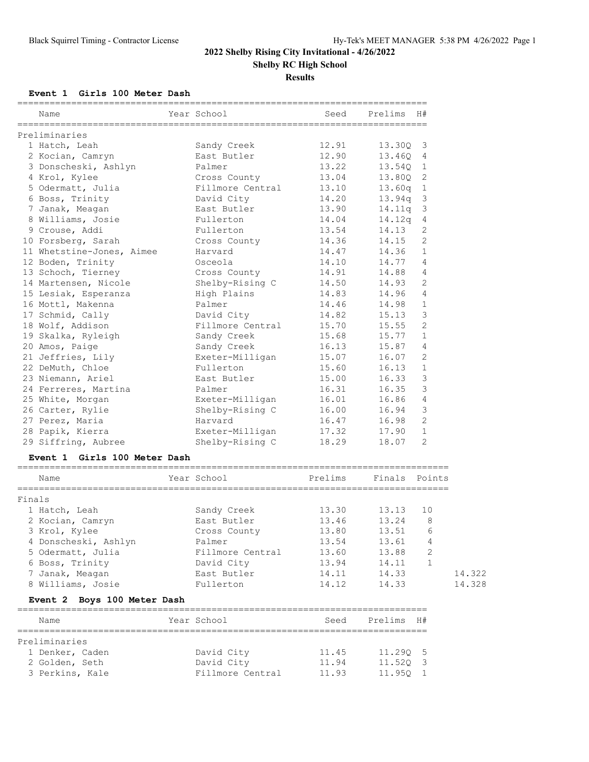**Results**

#### **Event 1 Girls 100 Meter Dash**

| Name                      | Year School      | Seed  | Prelims    | H#             |
|---------------------------|------------------|-------|------------|----------------|
| Preliminaries             |                  |       |            |                |
| 1 Hatch, Leah             | Sandy Creek      | 12.91 | 13.300 3   |                |
| 2 Kocian, Camryn          | East Butler      | 12.90 | 13.460     | $\overline{4}$ |
| 3 Donscheski, Ashlyn      | Palmer           | 13.22 | 13.540     | $\mathbf{1}$   |
| 4 Krol, Kylee             | Cross County     | 13.04 | 13.800 2   |                |
| 5 Odermatt, Julia         | Fillmore Central | 13.10 | $13.60q$ 1 |                |
| 6 Boss, Trinity           | David City       | 14.20 | $13.94q$ 3 |                |
| 7 Janak, Meagan           | East Butler      | 13.90 | $14.11q$ 3 |                |
| 8 Williams, Josie         | Fullerton        | 14.04 | $14.12q$ 4 |                |
| 9 Crouse, Addi            | Fullerton        | 13.54 | 14.13      | 2              |
| 10 Forsberg, Sarah        | Cross County     | 14.36 | 14.15      | 2              |
| 11 Whetstine-Jones, Aimee | Harvard          | 14.47 | 14.36      | $\mathbf{1}$   |
| 12 Boden, Trinity         | Osceola          | 14.10 | 14.77      | $\overline{4}$ |
| 13 Schoch, Tierney        | Cross County     | 14.91 | 14.88      | $\overline{4}$ |
| 14 Martensen, Nicole      | Shelby-Rising C  | 14.50 | 14.93      | 2              |
| 15 Lesiak, Esperanza      | High Plains      | 14.83 | 14.96      | $\overline{4}$ |
| 16 Mottl, Makenna         | Palmer           | 14.46 | 14.98      | $\mathbf{1}$   |
| 17 Schmid, Cally          | David City       | 14.82 | 15.13      | $\mathcal{E}$  |
| 18 Wolf, Addison          | Fillmore Central | 15.70 | 15.55      | $\overline{2}$ |
| 19 Skalka, Ryleigh        | Sandy Creek      | 15.68 | 15.77      | $\mathbf{1}$   |
| 20 Amos, Paige            | Sandy Creek      | 16.13 | 15.87      | 4              |
| 21 Jeffries, Lily         | Exeter-Milligan  | 15.07 | 16.07      | 2              |
| 22 DeMuth, Chloe          | Fullerton        | 15.60 | 16.13      | $\mathbf{1}$   |
| 23 Niemann, Ariel         | East Butler      | 15.00 | 16.33      | 3              |
| 24 Ferreres, Martina      | Palmer           | 16.31 | 16.35      | $\mathcal{E}$  |
| 25 White, Morgan          | Exeter-Milligan  | 16.01 | 16.86      | $\overline{4}$ |
| 26 Carter, Rylie          | Shelby-Rising C  | 16.00 | 16.94      | $\mathcal{S}$  |
| 27 Perez, Maria           | Harvard          | 16.47 | 16.98      | $\overline{2}$ |
| 28 Papik, Kierra          | Exeter-Milligan  | 17.32 | 17.90      | $\mathbf{1}$   |
| 29 Siffring, Aubree       | Shelby-Rising C  | 18.29 | 18.07      | $\overline{2}$ |

#### **Event 1 Girls 100 Meter Dash**

### ================================================================================ Name Year School Prelims Finals Points ================================================================================ Finals 1 Hatch, Leah Sandy Creek 13.30 13.13 10 2 Kocian, Camryn East Butler 13.46 13.24 8 3 Krol, Kylee Cross County 13.80 13.51 6 4 Donscheski, Ashlyn Palmer 13.54 13.61 4 5 Odermatt, Julia Fillmore Central 13.60 13.88 2 6 Boss, Trinity David City 13.94 14.11 1 7 Janak, Meagan East Butler 14.11 14.33 14.322 8 Williams, Josie Fullerton 14.12 14.33 14.328

#### **Event 2 Boys 100 Meter Dash**

| Name            | Year School      | Seed  | Prelims H# |  |
|-----------------|------------------|-------|------------|--|
|                 |                  |       |            |  |
| Preliminaries   |                  |       |            |  |
| 1 Denker, Caden | David City       | 11.45 | 11.290 5   |  |
| 2 Golden, Seth  | David City       | 11.94 | 11.520 3   |  |
| 3 Perkins, Kale | Fillmore Central | 11.93 | 11.950 1   |  |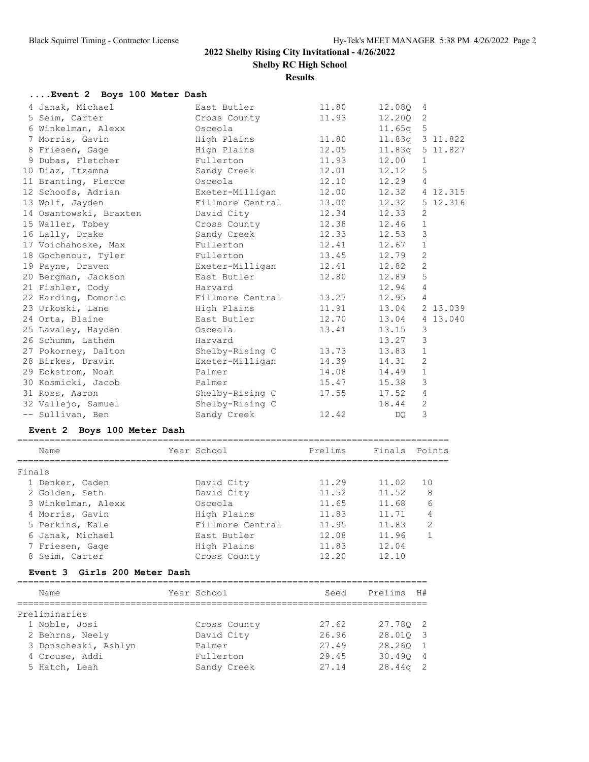**Results**

| Event 2 Boys 100 Meter Dash  |                  |                    |               |                |
|------------------------------|------------------|--------------------|---------------|----------------|
| 4 Janak, Michael             | East Butler      | 11.80              | 12.08Q        | 4              |
| 5 Seim, Carter               | Cross County     | 11.93              | 12.200        | 2              |
| 6 Winkelman, Alexx           | Osceola          |                    | 11.65q        | 5              |
| 7 Morris, Gavin              | High Plains      | 11.80              | 11.83q        | 3 11.822       |
| 8 Friesen, Gage              | High Plains      | 12.05              | 11.83q        | 5 11.827       |
| 9 Dubas, Fletcher            | Fullerton        | 11.93              | 12.00         | $\mathbf 1$    |
| 10 Diaz, Itzamna             | Sandy Creek      | 12.01              | 12.12         | 5              |
| 11 Branting, Pierce          | Osceola          | 12.10              | 12.29         | 4              |
| 12 Schoofs, Adrian           | Exeter-Milligan  | 12.00              | 12.32         | 4 12.315       |
| 13 Wolf, Jayden              | Fillmore Central | 13.00              | 12.32         | 5 12.316       |
| 14 Osantowski, Braxten       | David City       | 12.34              | 12.33         | $\mathbf{2}$   |
| 15 Waller, Tobey             | Cross County     | 12.38              | 12.46         | $\mathbf{1}$   |
| 16 Lally, Drake              | Sandy Creek      | 12.33              | 12.53         | 3              |
| 17 Voichahoske, Max          | Fullerton        | 12.41              | 12.67         | $\mathbf 1$    |
| 18 Gochenour, Tyler          | Fullerton        | 13.45              | 12.79         | 2              |
| 19 Payne, Draven             | Exeter-Milligan  | 12.41              | 12.82         | $\overline{c}$ |
| 20 Bergman, Jackson          | East Butler      | 12.80              | 12.89         | 5              |
| 21 Fishler, Cody             | Harvard          |                    | 12.94         | 4              |
| 22 Harding, Domonic          | Fillmore Central | 13.27              | 12.95         | 4              |
| 23 Urkoski, Lane             | High Plains      | 11.91              | 13.04         | 2 13.039       |
| 24 Orta, Blaine              | East Butler      | 12.70              | 13.04         | 4 13.040       |
| 25 Lavaley, Hayden           | Osceola          | 13.41              | 13.15         | $\mathsf 3$    |
| 26 Schumm, Lathem            | Harvard          |                    | 13.27         | $\mathcal{S}$  |
| 27 Pokorney, Dalton          | Shelby-Rising C  | 13.73              | 13.83         | $\mathbf{1}$   |
| 28 Birkes, Dravin            | Exeter-Milligan  | 14.39              | 14.31         | $\overline{2}$ |
| 29 Eckstrom, Noah            | Palmer           | 14.08              | 14.49         | $\mathbf 1$    |
| 30 Kosmicki, Jacob           | Palmer           | 15.47              | 15.38         | 3              |
| 31 Ross, Aaron               | Shelby-Rising C  | 17.55              | 17.52         | 4              |
| 32 Vallejo, Samuel           | Shelby-Rising C  |                    | 18.44         | $\mathbf{2}$   |
| -- Sullivan, Ben             | Sandy Creek      | 12.42              | DQ.           | 3              |
| Event 2 Boys 100 Meter Dash  |                  |                    |               |                |
| Name                         | Year School      | Prelims            | Finals Points |                |
| Finals                       |                  |                    |               |                |
| 1 Denker, Caden              | David City       | 11.29              | 11.02         | 10             |
| 2 Golden, Seth               | David City       | 11.52              | 11.52         | 8              |
| 3 Winkelman, Alexx           | Osceola          | 11.65              | 11.68         | 6              |
| 4 Morris, Gavin              | High Plains      | 11.83              | 11.71         | 4              |
| 5 Perkins, Kale              | Fillmore Central | 11.95              | 11.83         | 2              |
| 6 Janak, Michael             | East Butler      | 12.08              | 11.96         | $\mathbf{1}$   |
| 7 Friesen, Gage              | High Plains      | 11.83              | 12.04         |                |
| 8 Seim, Carter               | Cross County     | 12.20              | 12.10         |                |
| Event 3 Girls 200 Meter Dash |                  |                    |               |                |
|                              |                  | ================== |               |                |
| Name                         | Year School      | Seed               | Prelims       | H#             |
| Preliminaries                |                  |                    |               |                |
| 1 Noble, Josi                | Cross County     | 27.62              | 27.78Q        | 2              |
| 2 Behrns, Neely              | David City       | 26.96              | 28.01Q        | 3              |
| 3 Donscheski, Ashlyn         | Palmer           | 27.49              | 28.26Q        | $\mathbf{1}$   |
| 4 Crouse, Addi               | Fullerton        | 29.45              | 30.49Q        | 4              |
| 5 Hatch, Leah                | Sandy Creek      | 27.14              | 28.44q        | 2              |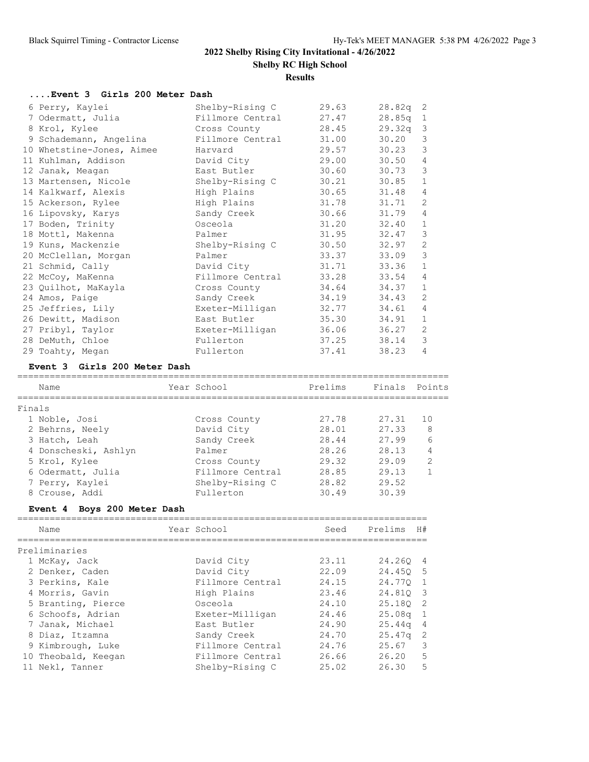**Results**

## **....Event 3 Girls 200 Meter Dash**

| 6 Perry, Kaylei           | Shelby-Rising C  | 29.63 | $28.82q$ 2 |                |
|---------------------------|------------------|-------|------------|----------------|
| 7 Odermatt, Julia         | Fillmore Central | 27.47 | 28.85q     | $\mathbf{1}$   |
| 8 Krol, Kylee             | Cross County     | 28.45 | 29.32q     | $\overline{3}$ |
| 9 Schademann, Angelina    | Fillmore Central | 31.00 | 30.20      | 3              |
| 10 Whetstine-Jones, Aimee | Harvard          | 29.57 | 30.23      | 3              |
| 11 Kuhlman, Addison       | David City       | 29.00 | 30.50      | $\overline{4}$ |
| 12 Janak, Meagan          | East Butler      | 30.60 | 30.73      | 3              |
| 13 Martensen, Nicole      | Shelby-Rising C  | 30.21 | 30.85      | $\mathbf{1}$   |
| 14 Kalkwarf, Alexis       | High Plains      | 30.65 | 31.48      | 4              |
| 15 Ackerson, Rylee        | High Plains      | 31.78 | 31.71      | 2              |
| 16 Lipovsky, Karys        | Sandy Creek      | 30.66 | 31.79      | 4              |
| 17 Boden, Trinity         | Osceola          | 31.20 | 32.40      | $\mathbf{1}$   |
| 18 Mottl, Makenna         | Palmer           | 31.95 | 32.47      | 3              |
| 19 Kuns, Mackenzie        | Shelby-Rising C  | 30.50 | 32.97      | 2              |
| 20 McClellan, Morgan      | Palmer           | 33.37 | 33.09      | 3              |
| 21 Schmid, Cally          | David City       | 31.71 | 33.36      | $\mathbf{1}$   |
| 22 McCoy, MaKenna         | Fillmore Central | 33.28 | 33.54      | 4              |
| 23 Quilhot, MaKayla       | Cross County     | 34.64 | 34.37      | $\mathbf{1}$   |
| 24 Amos, Paige            | Sandy Creek      | 34.19 | 34.43      | 2              |
| 25 Jeffries, Lily         | Exeter-Milligan  | 32.77 | 34.61      | $\overline{4}$ |
| 26 Dewitt, Madison        | East Butler      | 35.30 | 34.91      | $\mathbf{1}$   |
| 27 Pribyl, Taylor         | Exeter-Milligan  | 36.06 | 36.27      | 2              |
| 28 DeMuth, Chloe          | Fullerton        | 37.25 | 38.14      | 3              |
| 29 Toahty, Megan          | Fullerton        | 37.41 | 38.23      | 4              |

# **Event 3 Girls 200 Meter Dash**

| Name                 | Year School      | Prelims | Finals Points |                |
|----------------------|------------------|---------|---------------|----------------|
| Finals               |                  |         |               |                |
| 1 Noble, Josi        | Cross County     | 27.78   | 27.31         | 1 O            |
| 2 Behrns, Neely      | David City       | 28.01   | 27.33         | 8              |
| 3 Hatch, Leah        | Sandy Creek      | 28.44   | 27.99         | 6              |
| 4 Donscheski, Ashlyn | Palmer           | 28.26   | 28.13         | 4              |
| 5 Krol, Kylee        | Cross County     | 29.32   | 29.09         | $\mathfrak{D}$ |
| 6 Odermatt, Julia    | Fillmore Central | 28.85   | 29.13         |                |
| 7 Perry, Kaylei      | Shelby-Rising C  | 28.82   | 29.52         |                |
| 8 Crouse, Addi       | Fullerton        | 30.49   | 30.39         |                |
|                      |                  |         |               |                |

## **Event 4 Boys 200 Meter Dash**

| Name                | Year School      | Seed  | Prelims            | H#             |
|---------------------|------------------|-------|--------------------|----------------|
| Preliminaries       |                  |       |                    |                |
| 1 McKay, Jack       | David City       | 23.11 | 24.260             | 4              |
| 2 Denker, Caden     | David City       | 22.09 | 24.450             | - 5            |
| 3 Perkins, Kale     | Fillmore Central | 24.15 | 24.770             | $\overline{1}$ |
| 4 Morris, Gavin     | High Plains      | 23.46 | 24.810 3           |                |
| 5 Branting, Pierce  | Osceola          | 24.10 | 25.180             | - 2            |
| 6 Schoofs, Adrian   | Exeter-Milligan  | 24.46 | 25.08 <sub>q</sub> | $\overline{1}$ |
| 7 Janak, Michael    | East Butler      | 24.90 | 25.44 <sub>q</sub> | $\overline{4}$ |
| 8 Diaz, Itzamna     | Sandy Creek      | 24.70 | 25.47 <sub>q</sub> | -2             |
| 9 Kimbrough, Luke   | Fillmore Central | 24.76 | 25.67              | 3              |
| 10 Theobald, Keegan | Fillmore Central | 26.66 | 26.20              | 5              |
| 11 Nekl, Tanner     | Shelby-Rising C  | 25.02 | 26.30              | 5              |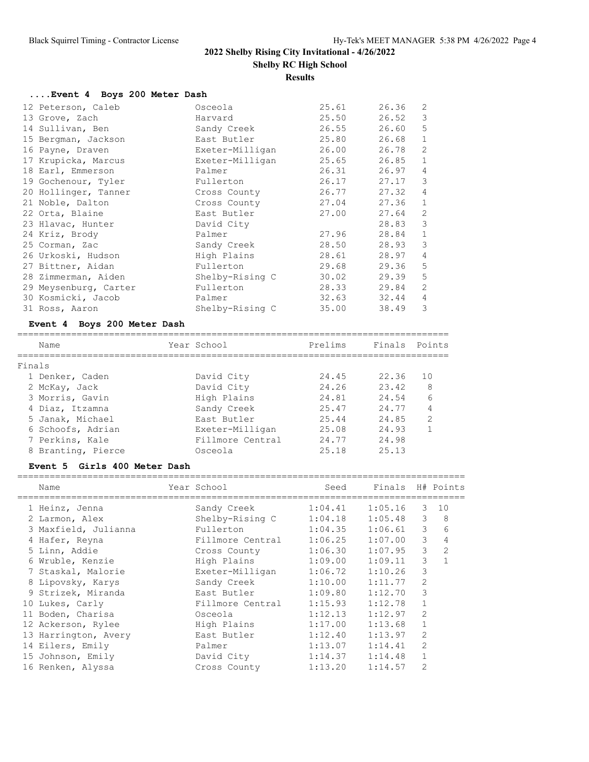## **Results**

## **....Event 4 Boys 200 Meter Dash**

| 12 Peterson, Caleb    | Osceola         | 25.61 | 26.36 | 2              |
|-----------------------|-----------------|-------|-------|----------------|
| 13 Grove, Zach        | Harvard         | 25.50 | 26.52 | 3              |
| 14 Sullivan, Ben      | Sandy Creek     | 26.55 | 26.60 | 5              |
| 15 Bergman, Jackson   | East Butler     | 25.80 | 26.68 | $\mathbf{1}$   |
| 16 Payne, Draven      | Exeter-Milligan | 26.00 | 26.78 | 2              |
| 17 Krupicka, Marcus   | Exeter-Milligan | 25.65 | 26.85 | $\mathbf{1}$   |
| 18 Earl, Emmerson     | Palmer          | 26.31 | 26.97 | 4              |
| 19 Gochenour, Tyler   | Fullerton       | 26.17 | 27.17 | 3              |
| 20 Hollinger, Tanner  | Cross County    | 26.77 | 27.32 | 4              |
| 21 Noble, Dalton      | Cross County    | 27.04 | 27.36 | $\mathbf{1}$   |
| 22 Orta, Blaine       | East Butler     | 27.00 | 27.64 | 2              |
| 23 Hlavac, Hunter     | David City      |       | 28.83 | 3              |
| 24 Kriz, Brody        | Palmer          | 27.96 | 28.84 | $\mathbf{1}$   |
| 25 Corman, Zac        | Sandy Creek     | 28.50 | 28.93 | 3              |
| 26 Urkoski, Hudson    | High Plains     | 28.61 | 28.97 | $\overline{4}$ |
| 27 Bittner, Aidan     | Fullerton       | 29.68 | 29.36 | 5              |
| 28 Zimmerman, Aiden   | Shelby-Rising C | 30.02 | 29.39 | 5              |
| 29 Meysenburg, Carter | Fullerton       | 28.33 | 29.84 | 2              |
| 30 Kosmicki, Jacob    | Palmer          | 32.63 | 32.44 | 4              |
| 31 Ross, Aaron        | Shelby-Rising C | 35.00 | 38.49 | 3              |

## **Event 4 Boys 200 Meter Dash**

|        | Name               | Year School      | Prelims | Finals Points |                |
|--------|--------------------|------------------|---------|---------------|----------------|
| Finals |                    |                  |         |               |                |
|        | 1 Denker, Caden    | David City       | 24.45   | 22.36         | 10             |
|        | 2 McKay, Jack      | David City       | 24.26   | 23.42         | 8              |
|        | 3 Morris, Gavin    | High Plains      | 24.81   | 24.54         | 6              |
|        | 4 Diaz, Itzamna    | Sandy Creek      | 25.47   | 24.77         |                |
|        | 5 Janak, Michael   | East Butler      | 25.44   | 24.85         | $\overline{2}$ |
|        | 6 Schoofs, Adrian  | Exeter-Milligan  | 25.08   | 24.93         |                |
|        | 7 Perkins, Kale    | Fillmore Central | 24.77   | 24.98         |                |
|        | 8 Branting, Pierce | Osceola          | 25.18   | 25.13         |                |

## **Event 5 Girls 400 Meter Dash**

| Name                 | Year School      | Seed    | Finals H# Points |                |                |
|----------------------|------------------|---------|------------------|----------------|----------------|
| 1 Heinz, Jenna       | Sandy Creek      | 1:04.41 | 1:05.16          | 3              | 10             |
| 2 Larmon, Alex       | Shelby-Rising C  | 1:04.18 | 1:05.48          | 3              | 8              |
| 3 Maxfield, Julianna | Fullerton        | 1:04.35 | 1:06.61          | 3              | 6              |
| 4 Hafer, Reyna       | Fillmore Central | 1:06.25 | 1:07.00          | 3              | 4              |
| 5 Linn, Addie        | Cross County     | 1:06.30 | 1:07.95          | 3              | $\overline{2}$ |
| 6 Wruble, Kenzie     | High Plains      | 1:09.00 | 1:09.11          | 3              | 1              |
| 7 Staskal, Malorie   | Exeter-Milligan  | 1:06.72 | 1:10.26          | 3              |                |
| 8 Lipovsky, Karys    | Sandy Creek      | 1:10.00 | 1:11.77          | 2              |                |
| 9 Strizek, Miranda   | East Butler      | 1:09.80 | 1:12.70          | 3              |                |
| 10 Lukes, Carly      | Fillmore Central | 1:15.93 | 1:12.78          | 1              |                |
| 11 Boden, Charisa    | Osceola          | 1:12.13 | 1:12.97          | 2              |                |
| 12 Ackerson, Rylee   | High Plains      | 1:17.00 | 1:13.68          | 1              |                |
| 13 Harrington, Avery | East Butler      | 1:12.40 | 1:13.97          | $\overline{2}$ |                |
| 14 Eilers, Emily     | Palmer           | 1:13.07 | 1:14.41          | $\overline{2}$ |                |
| 15 Johnson, Emily    | David City       | 1:14.37 | 1:14.48          | 1              |                |
| 16 Renken, Alyssa    | Cross County     | 1:13.20 | 1:14.57          | $\overline{2}$ |                |
|                      |                  |         |                  |                |                |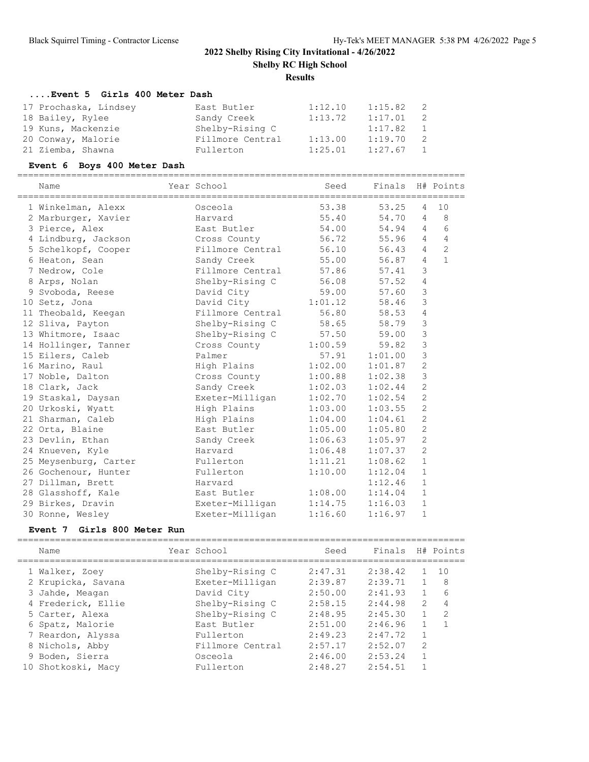**Results**

## **....Event 5 Girls 400 Meter Dash**

| 17 Prochaska, Lindsey | East Butler      | 1:12.10 | 1:15.82 | - 2            |
|-----------------------|------------------|---------|---------|----------------|
| 18 Bailey, Rylee      | Sandy Creek      | 1:13.72 | 1:17.01 | - 2            |
| 19 Kuns, Mackenzie    | Shelby-Rising C  |         | 1:17.82 | $\overline{1}$ |
| 20 Conway, Malorie    | Fillmore Central | 1:13.00 | 1:19.70 | $\overline{2}$ |
| 21 Ziemba, Shawna     | Fullerton        | 1:25.01 | 1:27.67 | $\overline{1}$ |

## **Event 6 Boys 400 Meter Dash**

| Name                  | Year School            | Seed    | Finals H# Points |                |              |
|-----------------------|------------------------|---------|------------------|----------------|--------------|
| 1 Winkelman, Alexx    | Osceola                | 53.38   | 53.25            | $\overline{4}$ | 10           |
| 2 Marburger, Xavier   | Harvard                | 55.40   | 54.70            | $\overline{4}$ | 8            |
| 3 Pierce, Alex        | East Butler            | 54.00   | 54.94            | 4              | 6            |
| 4 Lindburg, Jackson   | Cross County           | 56.72   | 55.96            | 4              | 4            |
| 5 Schelkopf, Cooper   | Fillmore Central       | 56.10   | 56.43            | $\overline{4}$ | $\mathbf{2}$ |
| 6 Heaton, Sean        | Sandy Creek            | 55.00   | 56.87            | $\overline{4}$ | $\mathbf{1}$ |
| 7 Nedrow, Cole        | Fillmore Central 57.86 |         | 57.41            | 3              |              |
| 8 Arps, Nolan         | Shelby-Rising C        | 56.08   | 57.52            | $\overline{4}$ |              |
| 9 Svoboda, Reese      | David City             | 59.00   | 57.60            | 3              |              |
| 10 Setz, Jona         | David City             | 1:01.12 | 58.46            | 3              |              |
| 11 Theobald, Keegan   | Fillmore Central       | 56.80   | 58.53            | 4              |              |
| 12 Sliva, Payton      | Shelby-Rising C        | 58.65   | 58.79            | 3              |              |
| 13 Whitmore, Isaac    | Shelby-Rising C        | 57.50   | 59.00            | 3              |              |
| 14 Hollinger, Tanner  | Cross County           | 1:00.59 | 59.82            | 3              |              |
| 15 Eilers, Caleb      | Palmer                 | 57.91   | 1:01.00          | $\mathfrak{Z}$ |              |
| 16 Marino, Raul       | High Plains            | 1:02.00 | 1:01.87          | $\overline{c}$ |              |
| 17 Noble, Dalton      | Cross County           | 1:00.88 | 1:02.38          | $\mathfrak{Z}$ |              |
| 18 Clark, Jack        | Sandy Creek            | 1:02.03 | 1:02.44          | $\mathbf{2}$   |              |
| 19 Staskal, Daysan    | Exeter-Milligan        | 1:02.70 | 1:02.54          | $\overline{c}$ |              |
| 20 Urkoski, Wyatt     | High Plains            | 1:03.00 | 1:03.55          | $\overline{c}$ |              |
| 21 Sharman, Caleb     | High Plains            | 1:04.00 | 1:04.61          | $\overline{c}$ |              |
| 22 Orta, Blaine       | East Butler            | 1:05.00 | 1:05.80          | $\overline{c}$ |              |
| 23 Devlin, Ethan      | Sandy Creek            | 1:06.63 | 1:05.97          | $\overline{2}$ |              |
| 24 Knueven, Kyle      | Harvard                | 1:06.48 | 1:07.37          | $\overline{2}$ |              |
| 25 Meysenburg, Carter | Fullerton              | 1:11.21 | 1:08.62          | $\mathbf{1}$   |              |
| 26 Gochenour, Hunter  | Fullerton              | 1:10.00 | 1:12.04          | $\mathbf{1}$   |              |
| 27 Dillman, Brett     | Harvard                |         | 1:12.46          | $\mathbf{1}$   |              |
| 28 Glasshoff, Kale    | East Butler            | 1:08.00 | 1:14.04          | $1\,$          |              |
| 29 Birkes, Dravin     | Exeter-Milligan        | 1:14.75 | 1:16.03          | $1\,$          |              |
| 30 Ronne, Wesley      | Exeter-Milligan        | 1:16.60 | 1:16.97          | $\mathbf{1}$   |              |

## **Event 7 Girls 800 Meter Run**

| Name               | Year School      | Seed    | Finals  |               | H# Points |
|--------------------|------------------|---------|---------|---------------|-----------|
| 1 Walker, Zoev     | Shelby-Rising C  | 2:47.31 | 2:38.42 |               | 10        |
| 2 Krupicka, Savana | Exeter-Milligan  | 2:39.87 | 2:39.71 |               | 8         |
| 3 Jahde, Meagan    | David City       | 2:50.00 | 2:41.93 | $\mathbf{1}$  | 6         |
| 4 Frederick, Ellie | Shelby-Rising C  | 2:58.15 | 2:44.98 | $\mathcal{L}$ | 4         |
| 5 Carter, Alexa    | Shelby-Rising C  | 2:48.95 | 2:45.30 |               | 2         |
| 6 Spatz, Malorie   | East Butler      | 2:51.00 | 2:46.96 |               |           |
| 7 Reardon, Alyssa  | Fullerton        | 2:49.23 | 2:47.72 | $\mathbf{1}$  |           |
| 8 Nichols, Abby    | Fillmore Central | 2:57.17 | 2:52.07 | 2             |           |
| 9 Boden, Sierra    | Osceola          | 2:46.00 | 2:53.24 | 1             |           |
| 10 Shotkoski, Macy | Fullerton        | 2:48.27 | 2:54.51 |               |           |
|                    |                  |         |         |               |           |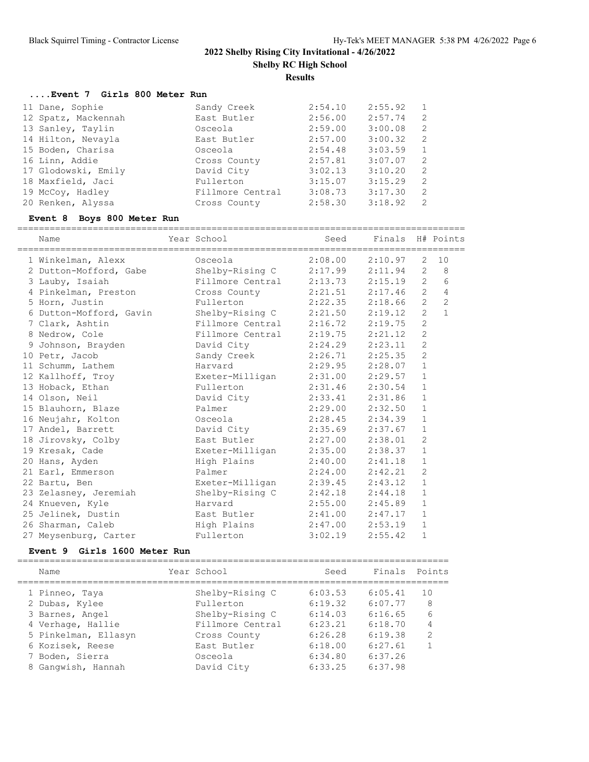#### **....Event 7 Girls 800 Meter Run**

| 11 Dane, Sophie     | Sandy Creek      | 2:54.10 | 2:55.92 |                |
|---------------------|------------------|---------|---------|----------------|
| 12 Spatz, Mackennah | East Butler      | 2:56.00 | 2:57.74 | -2             |
| 13 Sanley, Taylin   | Osceola          | 2:59.00 | 3:00.08 | - 2            |
| 14 Hilton, Nevayla  | East Butler      | 2:57.00 | 3:00.32 | - 2            |
| 15 Boden, Charisa   | Osceola          | 2:54.48 | 3:03.59 | $\overline{1}$ |
| 16 Linn, Addie      | Cross County     | 2:57.81 | 3:07.07 | -2             |
| 17 Glodowski, Emily | David City       | 3:02.13 | 3:10.20 | -2             |
| 18 Maxfield, Jaci   | Fullerton        | 3:15.07 | 3:15.29 | $\overline{2}$ |
| 19 McCoy, Hadley    | Fillmore Central | 3:08.73 | 3:17.30 | $\overline{2}$ |
| 20 Renken, Alyssa   | Cross County     | 2:58.30 | 3:18.92 | $\mathcal{P}$  |

#### **Event 8 Boys 800 Meter Run**

=================================================================================== Name  $Year School$  Seed Finals H# Points =================================================================================== 1 Winkelman, Alexx Osceola 2:08.00 2:10.97 2 10 2 Dutton-Mofford, Gabe Shelby-Rising C 2:17.99 2:11.94 2 8 3 Lauby, Isaiah Fillmore Central 2:13.73 2:15.19 2 6 4 Pinkelman, Preston Cross County 2:21.51 2:17.46 2 4 5 Horn, Justin Fullerton 2:22.35 2:18.66 2 2 6 Dutton-Mofford, Gavin Shelby-Rising C 2:21.50 2:19.12 2 1 7 Clark, Ashtin Fillmore Central 2:16.72 2:19.75 2 8 Nedrow, Cole Fillmore Central 2:19.75 2:21.12 2 9 Johnson, Brayden David City 2:24.29 2:23.11 2 10 Petr, Jacob Sandy Creek 2:26.71 2:25.35 2 11 Schumm, Lathem Harvard 2:29.95 2:28.07 1 12 Kallhoff, Troy Exeter-Milligan 2:31.00 2:29.57 1 13 Hoback, Ethan Fullerton 2:31.46 2:30.54 1 14 Olson, Neil David City 2:33.41 2:31.86 1 15 Blauhorn, Blaze Palmer 2:29.00 2:32.50 1 16 Neujahr, Kolton Osceola 2:28.45 2:34.39 1 17 Andel, Barrett David City 2:35.69 2:37.67 1 18 Jirovsky, Colby East Butler 2:27.00 2:38.01 2 19 Kresak, Cade Exeter-Milligan 2:35.00 2:38.37 1 20 Hans, Ayden High Plains 2:40.00 2:41.18 1 21 Earl, Emmerson Palmer 2:24.00 2:42.21 2 22 Bartu, Ben Exeter-Milligan 2:39.45 2:43.12 1 23 Zelasney, Jeremiah Shelby-Rising C 2:42.18 2:44.18 1 24 Knueven, Kyle Harvard 2:55.00 2:45.89 1 25 Jelinek, Dustin East Butler 2:41.00 2:47.17 1 26 Sharman, Caleb High Plains 2:47.00 2:53.19 1 27 Meysenburg, Carter Fullerton 3:02.19 2:55.42 1

#### **Event 9 Girls 1600 Meter Run**

| Name                 | Year School      | Seed    | Finals Points |                |
|----------------------|------------------|---------|---------------|----------------|
| 1 Pinneo, Taya       | Shelby-Rising C  | 6:03.53 | 6:05.41       | 1 O            |
| 2 Dubas, Kylee       | Fullerton        | 6:19.32 | 6:07.77       | 8              |
| 3 Barnes, Angel      | Shelby-Rising C  | 6:14.03 | 6:16.65       | 6              |
| 4 Verhage, Hallie    | Fillmore Central | 6:23.21 | 6:18.70       | 4              |
| 5 Pinkelman, Ellasyn | Cross County     | 6:26.28 | 6:19.38       | $\overline{2}$ |
| 6 Kozisek, Reese     | East Butler      | 6:18.00 | 6:27.61       | 1              |
| 7 Boden, Sierra      | Osceola          | 6:34.80 | 6:37.26       |                |
| 8 Gangwish, Hannah   | David City       | 6:33.25 | 6:37.98       |                |
|                      |                  |         |               |                |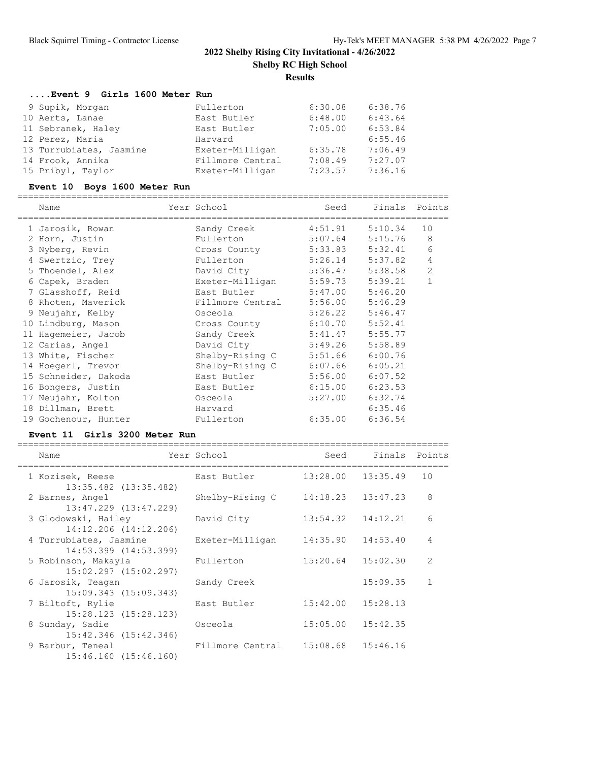### **....Event 9 Girls 1600 Meter Run**

| 9 Supik, Morgan         | Fullerton        | 6:30.08 | 6:38.76 |
|-------------------------|------------------|---------|---------|
| 10 Aerts, Lanae         | East Butler      | 6:48.00 | 6:43.64 |
| 11 Sebranek, Haley      | East Butler      | 7:05.00 | 6:53.84 |
| 12 Perez, Maria         | Harvard          |         | 6:55.46 |
| 13 Turrubiates, Jasmine | Exeter-Milligan  | 6:35.78 | 7:06.49 |
| 14 Frook, Annika        | Fillmore Central | 7:08.49 | 7:27.07 |
| 15 Pribyl, Taylor       | Exeter-Milligan  | 7:23.57 | 7:36.16 |

#### **Event 10 Boys 1600 Meter Run**

Name **Year School** Seed Finals Points ================================================================================ 1 Jarosik, Rowan Sandy Creek 4:51.91 5:10.34 10 2 Horn, Justin Fullerton 5:07.64 5:15.76 8 3 Nyberg, Revin Cross County 5:33.83 5:32.41 6 4 Swertzic, Trey Fullerton 5:26.14 5:37.82 4 5 Thoendel, Alex David City 5:36.47 5:38.58 2 6 Capek, Braden Exeter-Milligan 5:59.73 5:39.21 1 7 Glasshoff, Reid East Butler 5:47.00 5:46.20 8 Rhoten, Maverick Fillmore Central 5:56.00 5:46.29 9 Neujahr, Kelby Osceola 5:26.22 5:46.47 10 Lindburg, Mason Cross County 6:10.70 5:52.41 11 Hagemeier, Jacob Sandy Creek 5:41.47 5:55.77 12 Carias, Angel David City 5:49.26 5:58.89 13 White, Fischer Shelby-Rising C 5:51.66 6:00.76 14 Hoegerl, Trevor Shelby-Rising C 6:07.66 6:05.21 15 Schneider, Dakoda East Butler 5:56.00 6:07.52 16 Bongers, Justin East Butler 6:15.00 6:23.53 17 Neujahr, Kolton Osceola 5:27.00 6:32.74 18 Dillman, Brett Harvard Harvard 6:35.46 19 Gochenour, Hunter Fullerton 6:35.00 6:36.54

================================================================================

#### **Event 11 Girls 3200 Meter Run**

================================================================================ Name The Year School Contract Seed Finals Points ================================================================================ East Butler 13:28.00 13:35.49 10 13:35.482 (13:35.482) 2 Barnes, Angel Shelby-Rising C 14:18.23 13:47.23 8 13:47.229 (13:47.229) 3 Glodowski, Hailey David City 13:54.32 14:12.21 6 14:12.206 (14:12.206) 4 Turrubiates, Jasmine Exeter-Milligan 14:35.90 14:53.40 4 14:53.399 (14:53.399) 5 Robinson, Makayla Fullerton 15:20.64 15:02.30 2 15:02.297 (15:02.297) 6 Jarosik, Teagan Sandy Creek 15:09.35 1 15:09.343 (15:09.343) 7 Biltoft, Rylie East Butler 15:42.00 15:28.13 15:28.123 (15:28.123) 8 Sunday, Sadie Osceola 15:05.00 15:42.35 15:42.346 (15:42.346) 9 Barbur, Teneal **Fillmore Central** 15:08.68 15:46.16 15:46.160 (15:46.160)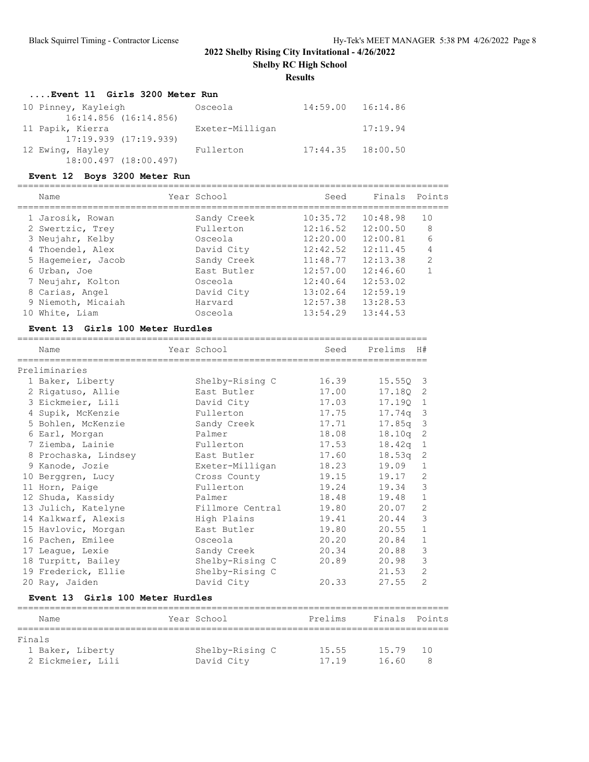# **Results**

# **....Event 11 Girls 3200 Meter Run**

| 10 Pinney, Kayleigh<br>16:14.856 (16:14.856)  | Osceola         | 14:59.00 16:14.86     |          |
|-----------------------------------------------|-----------------|-----------------------|----------|
| 11 Papik, Kierra                              | Exeter-Milligan |                       | 17:19.94 |
| $17:19.939$ $(17:19.939)$<br>12 Ewing, Hayley | Fullerton       | $17:44.35$ $18:00.50$ |          |
| 18:00.497 (18:00.497)                         |                 |                       |          |

## **Event 12 Boys 3200 Meter Run**

================================================================================

|    | Name               | Year School | Seed     | Finals Points |                |
|----|--------------------|-------------|----------|---------------|----------------|
|    | 1 Jarosik, Rowan   | Sandy Creek | 10:35.72 | 10:48.98      | 10             |
|    | 2 Swertzic, Trey   | Fullerton   | 12:16.52 | 12:00.50      | 8              |
|    | 3 Neujahr, Kelby   | Osceola     | 12:20.00 | 12:00.81      | 6              |
|    | 4 Thoendel, Alex   | David City  | 12:42.52 | 12:11.45      | 4              |
|    | 5 Hagemeier, Jacob | Sandy Creek | 11:48.77 | 12:13.38      | $\overline{2}$ |
|    | 6 Urban, Joe       | East Butler | 12:57.00 | 12:46.60      |                |
|    | 7 Neujahr, Kolton  | Osceola     | 12:40.64 | 12:53.02      |                |
|    | 8 Carias, Angel    | David City  | 13:02.64 | 12:59.19      |                |
|    | 9 Niemoth, Micaiah | Harvard     | 12:57.38 | 13:28.53      |                |
| 10 | White, Liam        | Osceola     | 13:54.29 | 13:44.53      |                |
|    |                    |             |          |               |                |

## **Event 13 Girls 100 Meter Hurdles**

| Name                 | Year School      | Seed  | Prelims            | H#                      |
|----------------------|------------------|-------|--------------------|-------------------------|
| Preliminaries        |                  |       |                    |                         |
| 1 Baker, Liberty     | Shelby-Rising C  | 16.39 | 15.550 3           |                         |
| 2 Rigatuso, Allie    | East Butler      | 17.00 | 17.180             | 2                       |
| 3 Eickmeier, Lili    | David City       | 17.03 | 17.190             | $\overline{1}$          |
| 4 Supik, McKenzie    | Fullerton        | 17.75 | 17.74a             | $\overline{\mathbf{3}}$ |
| 5 Bohlen, McKenzie   | Sandy Creek      | 17.71 | 17.85 <sub>q</sub> | 3                       |
| 6 Earl, Morgan       | Palmer           | 18.08 | 18.10q             | 2                       |
| 7 Ziemba, Lainie     | Fullerton        | 17.53 | 18.42q             | 1                       |
| 8 Prochaska, Lindsey | East Butler      | 17.60 | 18.53q             | 2                       |
| 9 Kanode, Jozie      | Exeter-Milligan  | 18.23 | 19.09              | $\mathbf{1}$            |
| 10 Berggren, Lucy    | Cross County     | 19.15 | 19.17              | 2                       |
| 11 Horn, Paige       | Fullerton        | 19.24 | 19.34              | 3                       |
| 12 Shuda, Kassidy    | Palmer           | 18.48 | 19.48              | $\mathbf{1}$            |
| 13 Julich, Katelyne  | Fillmore Central | 19.80 | 20.07              | $\overline{c}$          |
| 14 Kalkwarf, Alexis  | High Plains      | 19.41 | 20.44              | 3                       |
| 15 Havlovic, Morgan  | East Butler      | 19.80 | 20.55              | $\mathbf{1}$            |
| 16 Pachen, Emilee    | Osceola          | 20.20 | 20.84              | $\mathbf{1}$            |
| 17 League, Lexie     | Sandy Creek      | 20.34 | 20.88              | 3                       |
| 18 Turpitt, Bailey   | Shelby-Rising C  | 20.89 | 20.98              | 3                       |
| 19 Frederick, Ellie  | Shelby-Rising C  |       | 21.53              | $\overline{c}$          |
| 20 Ray, Jaiden       | David City       | 20.33 | 27.55              | $\mathfrak{D}$          |

## **Event 13 Girls 100 Meter Hurdles**

| Name              | Year School     | Prelims | Finals Points |     |
|-------------------|-----------------|---------|---------------|-----|
|                   |                 |         |               |     |
| Finals            |                 |         |               |     |
| 1 Baker, Liberty  | Shelby-Rising C | 15.55   | 15.79         | 1 N |
| 2 Eickmeier, Lili | David City      | 17.19   | 16.60         |     |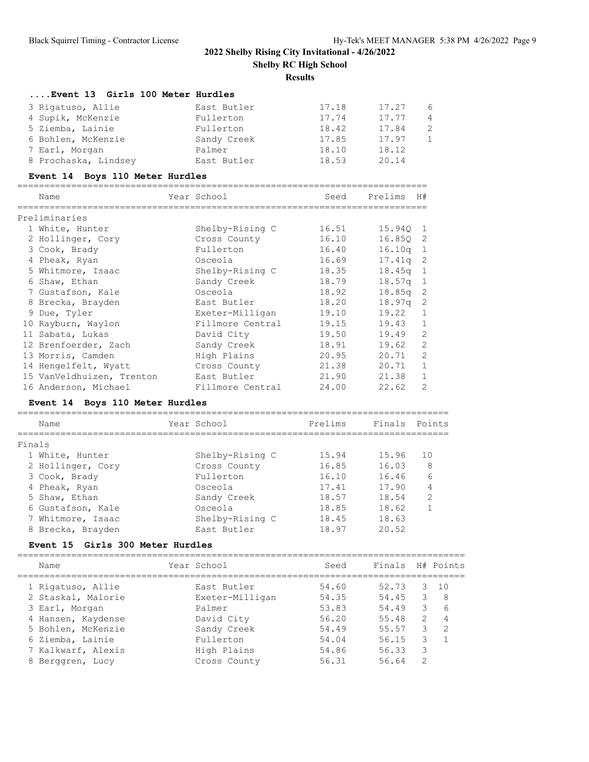**Results**

| Event 13 Girls 100 Meter Hurdles |             |       |       |                 |
|----------------------------------|-------------|-------|-------|-----------------|
| 3 Rigatuso, Allie                | East Butler | 17.18 | 17.27 | $6\overline{6}$ |
| 4 Supik, McKenzie                | Fullerton   | 17.74 | 17.77 | $\overline{4}$  |
| 5 Ziemba, Lainie                 | Fullerton   | 18.42 | 17.84 | -2              |
| 6 Bohlen, McKenzie               | Sandy Creek | 17.85 | 17.97 | $\overline{1}$  |
| 7 Earl, Morgan                   | Palmer      | 18.10 | 18.12 |                 |
| 8 Prochaska, Lindsey             | East Butler | 18.53 | 20.14 |                 |

## **Event 14 Boys 110 Meter Hurdles**

| Name                      | Year School      | Seed  | Prelims            | H#             |
|---------------------------|------------------|-------|--------------------|----------------|
| Preliminaries             |                  |       |                    |                |
| 1 White, Hunter           | Shelby-Rising C  | 16.51 | 15.940 1           |                |
| 2 Hollinger, Cory         | Cross County     | 16.10 | 16.850 2           |                |
| 3 Cook, Brady             | Fullerton        | 16.40 | 16.10 <sub>q</sub> | $\mathbf{1}$   |
| 4 Pheak, Ryan             | Osceola          | 16.69 | 17.41a             | -2             |
| 5 Whitmore, Isaac         | Shelby-Rising C  | 18.35 | 18.45q             | -1             |
| 6 Shaw, Ethan             | Sandy Creek      | 18.79 | 18.57q             | -1             |
| 7 Gustafson, Kale         | Osceola          | 18.92 | 18.85a             | -2             |
| 8 Brecka, Brayden         | East Butler      | 18.20 | 18.97q             | $\overline{c}$ |
| 9 Due, Tyler              | Exeter-Milligan  | 19.10 | 19.22              | $\mathbf{1}$   |
| 10 Rayburn, Waylon        | Fillmore Central | 19.15 | 19.43              | 1              |
| 11 Sabata, Lukas          | David City       | 19.50 | 19.49              | 2              |
| 12 Brenfoerder, Zach      | Sandy Creek      | 18.91 | 19.62              | 2              |
| 13 Morris, Camden         | High Plains      | 20.95 | 20.71              | $\mathcal{L}$  |
| 14 Hengelfelt, Wyatt      | Cross County     | 21.38 | 20.71              | $\mathbf{1}$   |
| 15 VanVeldhuizen, Trenton | East Butler      | 21.90 | 21.38              | 1              |
| 16 Anderson, Michael      | Fillmore Central | 24.00 | 22.62              | $\mathcal{L}$  |

## **Event 14 Boys 110 Meter Hurdles**

|        | Name              | Year School     | Prelims | Finals Points |                |
|--------|-------------------|-----------------|---------|---------------|----------------|
| Finals |                   |                 |         |               |                |
|        | 1 White, Hunter   | Shelby-Rising C | 15.94   | 15.96         | 10             |
|        | 2 Hollinger, Cory | Cross County    | 16.85   | 16.03         | 8              |
|        | 3 Cook, Brady     | Fullerton       | 16.10   | 16.46         | 6              |
|        | 4 Pheak, Ryan     | Osceola         | 17.41   | 17.90         | 4              |
|        | 5 Shaw, Ethan     | Sandy Creek     | 18.57   | 18.54         | $\overline{2}$ |
|        | 6 Gustafson, Kale | Osceola         | 18.85   | 18.62         |                |
|        | 7 Whitmore, Isaac | Shelby-Rising C | 18.45   | 18.63         |                |
|        | 8 Brecka, Brayden | East Butler     | 18.97   | 20.52         |                |

### **Event 15 Girls 300 Meter Hurdles**

| Name               | Year School     | Seed  | Finals |               | H# Points      |
|--------------------|-----------------|-------|--------|---------------|----------------|
| 1 Rigatuso, Allie  | East Butler     | 54.60 | 52.73  | 3             | 10             |
| 2 Staskal, Malorie | Exeter-Milligan | 54.35 | 54.45  | 3             | -8             |
| 3 Earl, Morgan     | Palmer          | 53.83 | 54.49  | 3             | 6              |
| 4 Hansen, Kaydense | David City      | 56.20 | 55.48  | $\mathcal{L}$ | $\overline{4}$ |
| 5 Bohlen, McKenzie | Sandy Creek     | 54.49 | 55.57  | 3             | $\overline{2}$ |
| 6 Ziemba, Lainie   | Fullerton       | 54.04 | 56.15  | 3.            | $\overline{1}$ |
| 7 Kalkwarf, Alexis | High Plains     | 54.86 | 56.33  | 3             |                |
| 8 Berggren, Lucy   | Cross County    | 56.31 | 56.64  | $\mathcal{D}$ |                |
|                    |                 |       |        |               |                |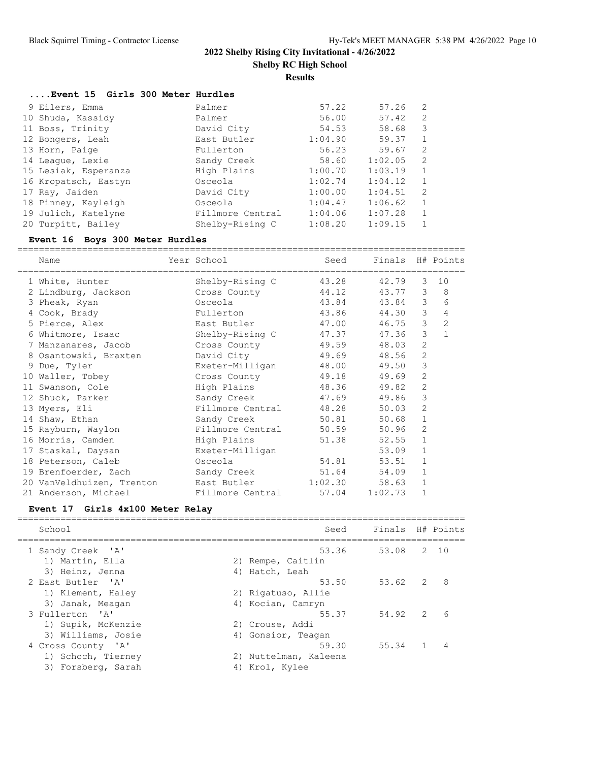**Results**

| Event 15 Girls 300 Meter Hurdles |
|----------------------------------|
|----------------------------------|

| 9 Eilers, Emma       | Palmer           | 57.22   | 57.26   | 2             |
|----------------------|------------------|---------|---------|---------------|
| 10 Shuda, Kassidy    | Palmer           | 56.00   | 57.42   | 2             |
| 11 Boss, Trinity     | David City       | 54.53   | 58.68   | 3             |
| 12 Bongers, Leah     | East Butler      | 1:04.90 | 59.37   | 1             |
| 13 Horn, Paige       | Fullerton        | 56.23   | 59.67   | $\mathcal{L}$ |
| 14 League, Lexie     | Sandy Creek      | 58.60   | 1:02.05 | 2             |
| 15 Lesiak, Esperanza | High Plains      | 1:00.70 | 1:03.19 | 1             |
| 16 Kropatsch, Eastyn | Osceola          | 1:02.74 | 1:04.12 |               |
| 17 Ray, Jaiden       | David City       | 1:00.00 | 1:04.51 | 2             |
| 18 Pinney, Kayleigh  | Osceola          | 1:04.47 | 1:06.62 |               |
| 19 Julich, Katelyne  | Fillmore Central | 1:04.06 | 1:07.28 |               |
| 20 Turpitt, Bailey   | Shelby-Rising C  | 1:08.20 | 1:09.15 |               |

## **Event 16 Boys 300 Meter Hurdles**

| Name<br>=============================  | Year School<br>-------------------- | Seed  | Finals H# Points |                |                |
|----------------------------------------|-------------------------------------|-------|------------------|----------------|----------------|
| 1 White, Hunter                        | Shelby-Rising C                     | 43.28 | 42.79            | 3              | 10             |
| 2 Lindburg, Jackson                    | Cross County                        | 44.12 | 43.77            | 3              | 8              |
| 3 Pheak, Ryan                          | Osceola                             | 43.84 | 43.84            | 3              | 6              |
| 4 Cook, Brady                          | Fullerton                           | 43.86 | 44.30            | 3              | 4              |
| 5 Pierce, Alex                         | East Butler                         | 47.00 | 46.75            | 3              | $\overline{c}$ |
| 6 Whitmore, Isaac Shelby-Rising C      |                                     | 47.37 | 47.36            | 3              | $\mathbf{1}$   |
| 7 Manzanares, Jacob Cross County       |                                     | 49.59 | 48.03            | $\overline{c}$ |                |
| 8 Osantowski, Braxten                  | David City                          | 49.69 | 48.56            | $\mathbf{2}$   |                |
| 9 Due, Tyler                           | Exeter-Milligan                     | 48.00 | 49.50            | 3              |                |
| 10 Waller, Tobey                       | Cross County                        | 49.18 | 49.69            | $\mathbf{2}$   |                |
| 11 Swanson, Cole                       | High Plains                         | 48.36 | 49.82            | $\mathbf{2}$   |                |
| 12 Shuck, Parker                       | Sandy Creek                         | 47.69 | 49.86            | 3              |                |
| 13 Myers, Eli                          | Fillmore Central                    | 48.28 | 50.03            | 2              |                |
| 14 Shaw, Ethan                         | Sandy Creek and the Sandy Creek     | 50.81 | 50.68            | $\mathbf{1}$   |                |
| 15 Rayburn, Waylon                     | Fillmore Central                    | 50.59 | 50.96            | $\mathbf{2}$   |                |
| 16 Morris, Camden                      | High Plains                         | 51.38 | 52.55            | $\mathbf{1}$   |                |
| 17 Staskal, Daysan                     | Exeter-Milligan                     |       | 53.09            | $\mathbf{1}$   |                |
|                                        |                                     | 54.81 | 53.51            | $\mathbf 1$    |                |
| 19 Brenfoerder, Zach Sandy Creek 51.64 |                                     |       | 54.09            | $\mathbf{1}$   |                |
| 20 VanVeldhuizen, Trenton              | East Butler 1:02.30                 |       | 58.63            | $\mathbf{1}$   |                |
| 21 Anderson, Michael                   | Fillmore Central                    | 57.04 | 1:02.73          | $\mathbf{1}$   |                |

## **Event 17 Girls 4x100 Meter Relay**

| School             |    | Seed                  | Finals H# Points |               |       |
|--------------------|----|-----------------------|------------------|---------------|-------|
| 1 Sandy Creek 'A'  |    | 53.36                 | 53.08            |               | 2, 10 |
| 1) Martin, Ella    |    | 2) Rempe, Caitlin     |                  |               |       |
| 3) Heinz, Jenna    |    | 4) Hatch, Leah        |                  |               |       |
| 2 East Butler 'A'  |    | 53.50                 | 53.62            | 2             | 8     |
| 1) Klement, Haley  |    | 2) Rigatuso, Allie    |                  |               |       |
| 3) Janak, Meagan   |    | 4) Kocian, Camryn     |                  |               |       |
| 3 Fullerton 'A'    |    | 55.37                 | 54.92            | $\mathcal{P}$ | 6     |
| 1) Supik, McKenzie |    | 2) Crouse, Addi       |                  |               |       |
| 3) Williams, Josie |    | 4) Gonsior, Teagan    |                  |               |       |
| 4 Cross County 'A' |    | 59.30                 | 55.34            |               |       |
| 1) Schoch, Tierney |    | 2) Nuttelman, Kaleena |                  |               |       |
| 3) Forsberg, Sarah | 4) | Krol, Kylee           |                  |               |       |
|                    |    |                       |                  |               |       |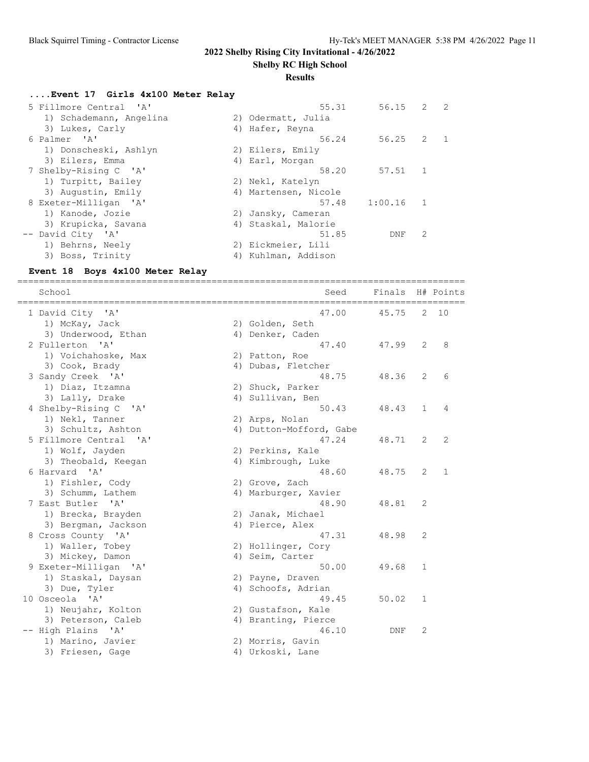**Shelby RC High School**

#### **Results**

#### **....Event 17 Girls 4x100 Meter Relay**

| 5 Fillmore Central 'A'  | 55.31                | $56.15$ 2 |                | $\overline{2}$ |
|-------------------------|----------------------|-----------|----------------|----------------|
| 1) Schademann, Angelina | 2) Odermatt, Julia   |           |                |                |
| 3) Lukes, Carly         | 4) Hafer, Reyna      |           |                |                |
| 6 Palmer 'A'            | 56.24                | 56.25     | 2              |                |
| 1) Donscheski, Ashlyn   | 2) Eilers, Emily     |           |                |                |
| 3) Eilers, Emma         | 4) Earl, Morgan      |           |                |                |
| 7 Shelby-Rising C 'A'   | 58.20                | 57.51     | $\overline{1}$ |                |
| 1) Turpitt, Bailey      | 2) Nekl, Katelyn     |           |                |                |
| 3) Augustin, Emily      | 4) Martensen, Nicole |           |                |                |
| 8 Exeter-Milligan 'A'   | 57.48                | 1:00.16   | $\sim$ 1       |                |
| 1) Kanode, Jozie        | 2) Jansky, Cameran   |           |                |                |
| 3) Krupicka, Savana     | 4) Staskal, Malorie  |           |                |                |
| -- David City 'A'       | 51.85                | DNF       | 2              |                |
| 1) Behrns, Neely        | 2) Eickmeier, Lili   |           |                |                |
| 3) Boss, Trinity        | 4) Kuhlman, Addison  |           |                |                |
|                         |                      |           |                |                |

#### **Event 18 Boys 4x100 Meter Relay**

=================================================================================== School Seed Finals H# Points =================================================================================== 1 David City 'A' 47.00 45.75 2 10 1) McKay, Jack 2) Golden, Seth 3) Underwood, Ethan 1988 (4) Denker, Caden 2 Fullerton 'A' 47.40 47.99 2 8 1) Voichahoske, Max 2) Patton, Roe 3) Cook, Brady (4) Dubas, Fletcher 3 Sandy Creek 'A' 48.75 48.36 2 6 1) Diaz, Itzamna (2) Shuck, Parker 3) Lally, Drake  $\begin{array}{ccc} 4 & 4 & 1 \end{array}$  Sullivan, Ben 4 Shelby-Rising C 'A' 50.43 48.43 1 4 1) Nekl, Tanner 2) Arps, Nolan 3) Schultz, Ashton 4) Dutton-Mofford, Gabe 5 Fillmore Central 'A' 47.24 48.71 2 2 1) Wolf, Jayden 2) Perkins, Kale 3) Theobald, Keegan 1988 4) Kimbrough, Luke 6 Harvard 'A' 48.60 48.75 2 1 1) Fishler, Cody (2) Grove, Zach 3) Schumm, Lathem 1988 (4) Marburger, Xavier 3) Schumm, Lathem (a) 4) Marburger, Xavier<br>7 East Butler 'A' (48.90 48.81 2 1) Brecka, Brayden 2) Janak, Michael 3) Bergman, Jackson (4) Pierce, Alex 8 Cross County 'A' 47.31 48.98 2 1) Waller, Tobey 2) Hollinger, Cory 3) Mickey, Damon (4) Seim, Carter 9 Exeter-Milligan 'A' 50.00 49.68 1 1) Staskal, Daysan 2) Payne, Draven 3) Due, Tyler (4) Schoofs, Adrian 10 Osceola 'A' 49.45 50.02 1 1) Neujahr, Kolton 2) Gustafson, Kale 3) Peterson, Caleb (4) Branting, Pierce -- High Plains 'A' 46.10 DNF 2 1) Marino, Javier (2) Morris, Gavin 3) Friesen, Gage 1988 (4) Urkoski, Lane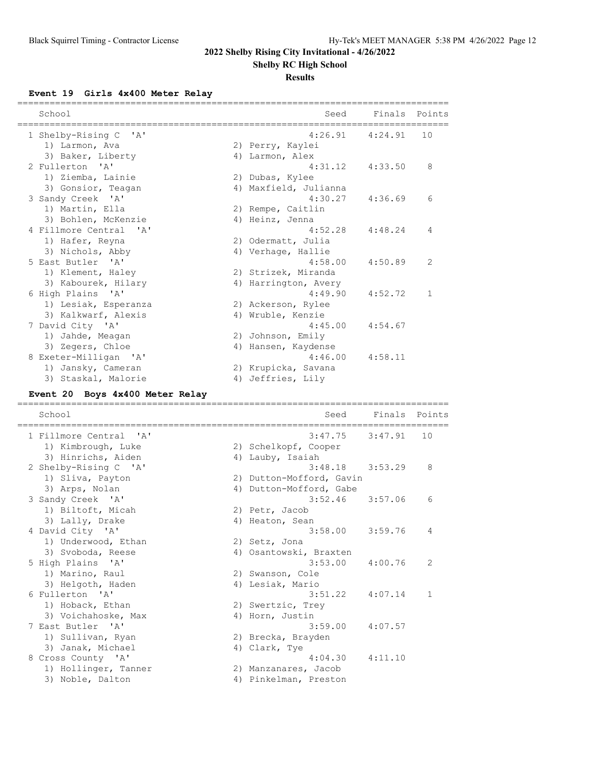**Shelby RC High School**

## **Results**

**Event 19 Girls 4x400 Meter Relay**

| School                                          | Seed                                          | Finals  | Points |
|-------------------------------------------------|-----------------------------------------------|---------|--------|
| 1 Shelby-Rising C<br>' A'                       | 4:26.91                                       | 4:24.91 | 10     |
| 1) Larmon, Ava                                  | 2) Perry, Kaylei                              |         |        |
| 3) Baker, Liberty                               | 4) Larmon, Alex                               |         |        |
| 2 Fullerton 'A'                                 | 4:31.12                                       | 4:33.50 | 8      |
| 1) Ziemba, Lainie                               | 2) Dubas, Kylee                               |         |        |
| 3) Gonsior, Teagan                              | 4) Maxfield, Julianna                         |         |        |
| 3 Sandy Creek 'A'                               | 4:30.27                                       | 4:36.69 | 6      |
| 1) Martin, Ella                                 | 2) Rempe, Caitlin                             |         |        |
| 3) Bohlen, McKenzie                             | 4) Heinz, Jenna                               |         |        |
| 4 Fillmore Central<br>$^{\prime}$ A $^{\prime}$ | 4:52.28                                       | 4:48.24 | 4      |
| 1) Hafer, Reyna                                 | 2) Odermatt, Julia                            |         |        |
| 3) Nichols, Abby                                | 4) Verhage, Hallie                            |         |        |
| 5 East Butler<br>' A'                           | 4:58.00                                       | 4:50.89 | 2      |
| 1) Klement, Haley                               | 2) Strizek, Miranda                           |         |        |
| 3) Kabourek, Hilary                             | 4) Harrington, Avery                          |         |        |
| 6 High Plains<br>$\mathsf{A}$                   | 4:49.90                                       | 4:52.72 | 1      |
| 1) Lesiak, Esperanza                            | 2) Ackerson, Rylee                            |         |        |
| 3) Kalkwarf, Alexis                             | 4) Wruble, Kenzie                             |         |        |
| 7 David City 'A'                                | 4:45.00                                       | 4:54.67 |        |
| 1) Jahde, Meagan                                | 2) Johnson, Emily                             |         |        |
| 3) Zegers, Chloe                                | 4) Hansen, Kaydense                           |         |        |
| 8 Exeter-Milligan<br>$^{\prime}$ A $^{\prime}$  | 4:46.00                                       | 4:58.11 |        |
| 1) Jansky, Cameran                              | 2) Krupicka, Savana                           |         |        |
| 3) Staskal, Malorie                             | 4) Jeffries, Lily                             |         |        |
| Event 20 Boys 4x400 Meter Relay                 |                                               |         |        |
|                                                 |                                               |         |        |
| School                                          | Seed                                          | Finals  | Points |
| 1 Fillmore Central<br>' A'                      | 3:47.75                                       | 3:47.91 | 10     |
| 1) Kimbrough, Luke                              | 2) Schelkopf, Cooper                          |         |        |
| 3) Hinrichs, Aiden                              | 4) Lauby, Isaiah                              |         |        |
| 2 Shelby-Rising C<br>$^{\prime}$ A $^{\prime}$  | 3:48.18                                       | 3:53.29 | 8      |
| 1) Sliva, Payton                                | 2) Dutton-Mofford, Gavin                      |         |        |
| 3) Arps, Nolan                                  | 4) Dutton-Mofford, Gabe                       |         |        |
| 3 Sandy Creek 'A'                               | 3:52.46                                       | 3:57.06 | 6      |
| 1) Biltoft, Micah                               | 2) Petr, Jacob                                |         |        |
| 3) Lally, Drake                                 | 4) Heaton, Sean                               |         |        |
| 4 David City 'A'                                | 3:58.00                                       | 3:59.76 |        |
| 1) Underwood, Ethan                             | 2) Setz, Jona                                 |         |        |
| 3) Svoboda, Reese                               | 4) Osantowski, Braxten                        |         |        |
| 5 High Plains 'A'                               | 3:53.00                                       | 4:00.76 | 2      |
| 1) Marino, Raul                                 | 2) Swanson, Cole                              |         |        |
| 3) Helgoth, Haden                               | 4) Lesiak, Mario                              |         |        |
| 6 Fullerton 'A'                                 | 3:51.22                                       | 4:07.14 | 1      |
| 1) Hoback, Ethan                                | 2) Swertzic, Trey                             |         |        |
| 3) Voichahoske, Max                             | 4) Horn, Justin                               |         |        |
| 7 East Butler 'A'                               | 3:59.00                                       | 4:07.57 |        |
| 1) Sullivan, Ryan                               | 2) Brecka, Brayden                            |         |        |
| 3) Janak, Michael                               | 4) Clark, Tye                                 |         |        |
| 8 Cross County 'A'                              | 4:04.30                                       | 4:11.10 |        |
| 1) Hollinger, Tanner<br>3) Noble, Dalton        | 2) Manzanares, Jacob<br>4) Pinkelman, Preston |         |        |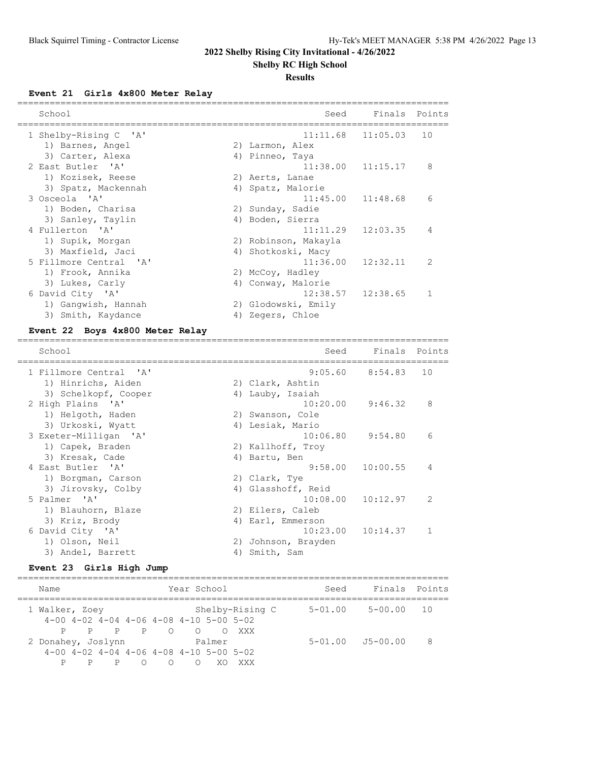**Shelby RC High School**

### **Results**

**Event 21 Girls 4x800 Meter Relay**

| School                   | Seed                 | Finals Points         |               |
|--------------------------|----------------------|-----------------------|---------------|
| 1 Shelby-Rising C 'A'    |                      | $11:11.68$ $11:05.03$ | 10            |
| 1) Barnes, Angel         | 2) Larmon, Alex      |                       |               |
| 3) Carter, Alexa         | 4) Pinneo, Taya      |                       |               |
| 2 East Butler 'A'        |                      | $11:38.00$ $11:15.17$ | 8             |
| 1) Kozisek, Reese        | 2) Aerts, Lanae      |                       |               |
| 3) Spatz, Mackennah      | 4) Spatz, Malorie    |                       |               |
| 3 Osceola 'A'            | 11:45.00             | 11:48.68              | 6             |
| 1) Boden, Charisa        | 2) Sunday, Sadie     |                       |               |
| 3) Sanley, Taylin        | 4) Boden, Sierra     |                       |               |
| 4 Fullerton 'A'          |                      | $11:11.29$ $12:03.35$ | 4             |
| 1) Supik, Morgan         | 2) Robinson, Makayla |                       |               |
| 3) Maxfield, Jaci<br>4)  | Shotkoski, Macy      |                       |               |
| 5 Fillmore Central 'A'   |                      | $11:36.00$ $12:32.11$ | $\mathcal{P}$ |
| 1) Frook, Annika         | 2) McCoy, Hadley     |                       |               |
| 3) Lukes, Carly          | 4) Conway, Malorie   |                       |               |
| 6 David City 'A'         | 12:38.57             | 12:38.65              | 1             |
| 1) Ganqwish, Hannah      | 2) Glodowski, Emily  |                       |               |
| 3) Smith, Kaydance<br>4) | Zegers, Chloe        |                       |               |
|                          |                      |                       |               |

## **Event 22 Boys 4x800 Meter Relay**

| School                 |    | Seed                | Finals Points         |               |
|------------------------|----|---------------------|-----------------------|---------------|
| 1 Fillmore Central 'A' |    |                     | $9:05.60$ $8:54.83$   | 10            |
| 1) Hinrichs, Aiden     |    | 2) Clark, Ashtin    |                       |               |
| 3) Schelkopf, Cooper   |    | 4) Lauby, Isaiah    |                       |               |
| 2 High Plains 'A'      |    |                     | $10:20.00$ $9:46.32$  | 8             |
| 1) Helgoth, Haden      |    | 2) Swanson, Cole    |                       |               |
| 3) Urkoski, Wyatt      |    | 4) Lesiak, Mario    |                       |               |
| 3 Exeter-Milligan 'A'  |    | 10:06.80            | 9:54.80               | 6             |
| 1) Capek, Braden       |    | 2) Kallhoff, Troy   |                       |               |
| 3) Kresak, Cade        | 4) | Bartu, Ben          |                       |               |
| 4 East Butler 'A'      |    |                     | $9:58.00$ 10:00.55    | 4             |
| 1) Borgman, Carson     |    | 2) Clark, Tye       |                       |               |
| 3) Jirovsky, Colby     |    | 4) Glasshoff, Reid  |                       |               |
| 5 Palmer 'A'           |    | 10:08.00            | 10:12.97              | $\mathcal{L}$ |
| 1) Blauhorn, Blaze     |    | 2) Eilers, Caleb    |                       |               |
| 3) Kriz, Brody         | 4) | Earl, Emmerson      |                       |               |
| 6 David City 'A'       |    |                     | $10:23.00$ $10:14.37$ | 1             |
| 1) Olson, Neil         |    | 2) Johnson, Brayden |                       |               |
| 3) Andel, Barrett      | 4) | Smith, Sam          |                       |               |

## **Event 23 Girls High Jump**

| Name                                 | Year School                                                                                 |             |                      |                 |  |  |
|--------------------------------------|---------------------------------------------------------------------------------------------|-------------|----------------------|-----------------|--|--|
| 1 Walker, Zoev                       | Shelby-Rising C<br>$4-00$ $4-02$ $4-04$ $4-06$ $4-08$ $4-10$ $5-00$ $5-02$                  | $5 - 01.00$ | $5 - 00.00$          | $\overline{10}$ |  |  |
| P P P P O O<br>2 Donahey, Joslynn    | XXX<br>Palmer                                                                               |             | $5-01.00$ $J5-00.00$ | 8               |  |  |
| P.<br>$\mathbb{P}$<br>$\bigcap$<br>P | $4-00$ $4-02$ $4-04$ $4-06$ $4-08$ $4-10$ $5-00$ $5-02$<br>$\cap$<br>$\Omega$<br>XO.<br>XXX |             |                      |                 |  |  |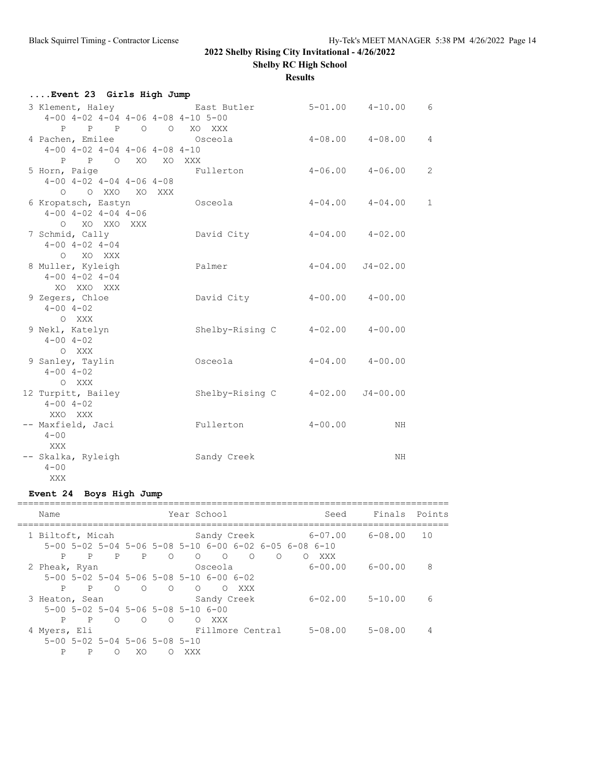**Shelby RC High School**

**Results**

| Event 23 Girls High Jump                         |                 |                     |                         |                |
|--------------------------------------------------|-----------------|---------------------|-------------------------|----------------|
| 3 Klement, Haley Contract Butler                 |                 | $5-01.00$ $4-10.00$ |                         | 6              |
| $4-00$ $4-02$ $4-04$ $4-06$ $4-08$ $4-10$ $5-00$ |                 |                     |                         |                |
| P P P O O XO XXX                                 |                 |                     |                         |                |
| 4 Pachen, Emilee                                 | Osceola         |                     | $4 - 08.00$ $4 - 08.00$ | $\overline{4}$ |
| $4-00$ $4-02$ $4-04$ $4-06$ $4-08$ $4-10$        |                 |                     |                         |                |
| P P O XO XO XXX                                  |                 |                     |                         |                |
| 5 Horn, Paige                                    | Fullerton       |                     | $4 - 06.00$ $4 - 06.00$ | $\overline{c}$ |
| $4-00$ $4-02$ $4-04$ $4-06$ $4-08$               |                 |                     |                         |                |
| O OXXO XOXXX                                     |                 |                     |                         |                |
| 6 Kropatsch, Eastyn                              | Osceola         |                     | $4 - 04.00$ $4 - 04.00$ | $\mathbf{1}$   |
| $4-00$ $4-02$ $4-04$ $4-06$                      |                 |                     |                         |                |
| O XO XXO XXX                                     |                 |                     |                         |                |
| 7 Schmid, Cally                                  | David City      |                     | $4-04.00$ $4-02.00$     |                |
| $4 - 00$ $4 - 02$ $4 - 04$                       |                 |                     |                         |                |
| O XO XXX                                         |                 |                     |                         |                |
| 8 Muller, Kyleigh                                | Palmer          |                     | $4-04.00$ $J4-02.00$    |                |
| $4 - 00$ $4 - 02$ $4 - 04$                       |                 |                     |                         |                |
| XO XXO XXX                                       |                 |                     |                         |                |
| 9 Zegers, Chloe                                  | David City      |                     | $4-00.00$ $4-00.00$     |                |
| $4 - 00$ $4 - 02$                                |                 |                     |                         |                |
| O XXX                                            |                 |                     |                         |                |
| 9 Nekl, Katelyn                                  | Shelby-Rising C |                     | $4-02.00$ $4-00.00$     |                |
| $4 - 00$ $4 - 02$                                |                 |                     |                         |                |
| O XXX                                            |                 |                     |                         |                |
| 9 Sanley, Taylin                                 | Osceola         |                     | $4-04.00$ $4-00.00$     |                |
| $4 - 00$ $4 - 02$                                |                 |                     |                         |                |
| O XXX                                            |                 |                     |                         |                |
| 12 Turpitt, Bailey                               | Shelby-Rising C | $4 - 02.00$         | $J4 - 00.00$            |                |
| $4 - 00$ $4 - 02$                                |                 |                     |                         |                |
| XXO XXX                                          | Fullerton       | $4 - 00.00$         |                         |                |
| -- Maxfield, Jaci<br>$4 - 00$                    |                 |                     | NH                      |                |
| XXX                                              |                 |                     |                         |                |
| -- Skalka, Ryleigh                               | Sandy Creek     |                     | NH                      |                |
| $4 - 00$                                         |                 |                     |                         |                |
|                                                  |                 |                     |                         |                |
| XXX                                              |                 |                     |                         |                |

## **Event 24 Boys High Jump**

| Name                                                 |                                     | Year School                                                                                 | Seed                          | Finals      | Points |
|------------------------------------------------------|-------------------------------------|---------------------------------------------------------------------------------------------|-------------------------------|-------------|--------|
| 1 Biltoft, Micah                                     |                                     | Sandy Creek<br>$5-00$ $5-02$ $5-04$ $5-06$ $5-08$ $5-10$ $6-00$ $6-02$ $6-05$ $6-08$ $6-10$ | 6-07.00                       | 6-08.00     | 10     |
| P<br>P<br>2 Pheak, Ryan                              | P<br>$\overline{P}$<br>$\circ$      | $\bigcirc$<br>$\bigcirc$<br>$\bigcirc$<br>$\circ$<br>Osceola                                | XXX<br>$\circ$<br>$6 - 00.00$ | 6-00.00     | 8      |
| P<br>P                                               | $\bigcirc$<br>$\bigcirc$<br>$\circ$ | $5-00$ $5-02$ $5-04$ $5-06$ $5-08$ $5-10$ $6-00$ $6-02$<br>$\bigcirc$<br>XXX<br>∩           |                               |             |        |
| 3 Heaton, Sean<br>5-00 5-02 5-04 5-06 5-08 5-10 6-00 |                                     | Sandy Creek                                                                                 | $6 - 02.00$                   | $5 - 10.00$ | 6      |
| P<br>$P$ 0<br>4 Myers, Eli                           | $\bigcirc$<br>$\circ$               | XXX<br>$\circ$<br>Fillmore Central                                                          | $5 - 08.00$                   | $5 - 08.00$ | 4      |
| $5-00$ $5-02$ $5-04$ $5-06$ $5-08$ $5-10$<br>P<br>P  | XO<br>$\left( \right)$<br>∩         | XXX                                                                                         |                               |             |        |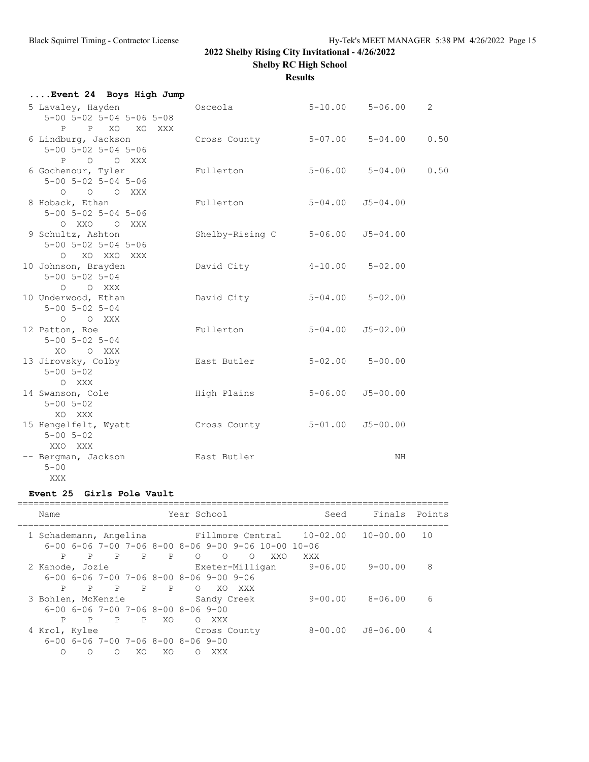**Results**

| Event 24 Boys High Jump                                                     |                 |             |                          |                |
|-----------------------------------------------------------------------------|-----------------|-------------|--------------------------|----------------|
| 5 Lavaley, Hayden<br>$5 - 00$ $5 - 02$ $5 - 04$ $5 - 06$ $5 - 08$           | Osceola         |             | $5 - 10.00$ $5 - 06.00$  | $\overline{2}$ |
| P P XO XO XXX<br>6 Lindburg, Jackson<br>$5 - 00$ $5 - 02$ $5 - 04$ $5 - 06$ | Cross County    |             | $5 - 07.00$ $5 - 04.00$  | 0.50           |
| P O O XXX<br>6 Gochenour, Tyler<br>$5 - 00$ $5 - 02$ $5 - 04$ $5 - 06$      | Fullerton       |             | $5 - 06.00$ $5 - 04.00$  | 0.50           |
| 0 0 0 XXX<br>8 Hoback, Ethan<br>$5 - 00$ $5 - 02$ $5 - 04$ $5 - 06$         | Fullerton       |             | $5 - 04.00$ $J5 - 04.00$ |                |
| O XXO O XXX<br>9 Schultz, Ashton<br>$5 - 00$ $5 - 02$ $5 - 04$ $5 - 06$     | Shelby-Rising C |             | $5 - 06.00$ $J5 - 04.00$ |                |
| O XO XXO XXX<br>10 Johnson, Brayden<br>$5 - 00$ $5 - 02$ $5 - 04$           | David City      |             | $4-10.00$ $5-02.00$      |                |
| O O XXX<br>10 Underwood, Ethan<br>$5 - 00$ $5 - 02$ $5 - 04$                | David City      |             | $5 - 04.00$ $5 - 02.00$  |                |
| O O XXX<br>12 Patton, Roe<br>$5 - 00$ $5 - 02$ $5 - 04$                     | Fullerton       | $5 - 04.00$ | $J5 - 02.00$             |                |
| XO OXXX<br>13 Jirovsky, Colby<br>$5 - 00$ $5 - 02$                          | East Butler     |             | $5 - 02.00$ $5 - 00.00$  |                |
| O XXX<br>14 Swanson, Cole<br>$5 - 00$ $5 - 02$                              | High Plains     | $5 - 06.00$ | $J5 - 00.00$             |                |
| XO XXX<br>15 Hengelfelt, Wyatt<br>$5 - 00$ $5 - 02$                         | Cross County    |             | $5 - 01.00$ $J5 - 00.00$ |                |
| XXO XXX<br>-- Bergman, Jackson<br>$5 - 00$                                  | East Butler     |             | NH                       |                |
| XXX                                                                         |                 |             |                          |                |

## **Event 25 Girls Pole Vault**

| Name                                                                   |            |              |                |                | Year School |            |                            |     | Seed                                                                                                                                 | Finals      | Points |
|------------------------------------------------------------------------|------------|--------------|----------------|----------------|-------------|------------|----------------------------|-----|--------------------------------------------------------------------------------------------------------------------------------------|-------------|--------|
|                                                                        |            |              |                |                |             |            |                            |     | 1 Schademann, Angelina Fillmore Central 10-02.00 10-00.00<br>$6-00$ $6-06$ $7-00$ $7-06$ $8-00$ $8-06$ $9-00$ $9-06$ $10-00$ $10-06$ |             | 10     |
| P<br>2 Kanode, Jozie                                                   | P          | P            | $\mathsf{P}$   | $\overline{P}$ | $\Omega$    | $\bigcirc$ | $\circ$<br>Exeter-Milligan | XXO | XXX<br>$9 - 06.00$                                                                                                                   | 9-00.00     | 8      |
| $6-00$ $6-06$ $7-00$ $7-06$ $8-00$ $8-06$ $9-00$ $9-06$<br>P           | P          | $\mathsf{P}$ | $\overline{P}$ | $\overline{P}$ | $\bigcap$   | XO         | XXX                        |     |                                                                                                                                      |             |        |
| 3 Bohlen, McKenzie<br>$6-00$ $6-06$ $7-00$ $7-06$ $8-00$ $8-06$ $9-00$ |            |              |                |                |             |            | Sandy Creek                |     | 9-00.00                                                                                                                              | $8 - 06.00$ | 6      |
| P<br>4 Krol, Kylee                                                     |            |              | P P P          | XO.            | $\bigcap$   | XXX        | Cross County               |     | 8-00.00                                                                                                                              | J8-06.00    | 4      |
| $6-00$ $6-06$ $7-00$ $7-06$ $8-00$ $8-06$ $9-00$                       | $\bigcirc$ | ∩            | XO             | XO             | ∩           | XXX        |                            |     |                                                                                                                                      |             |        |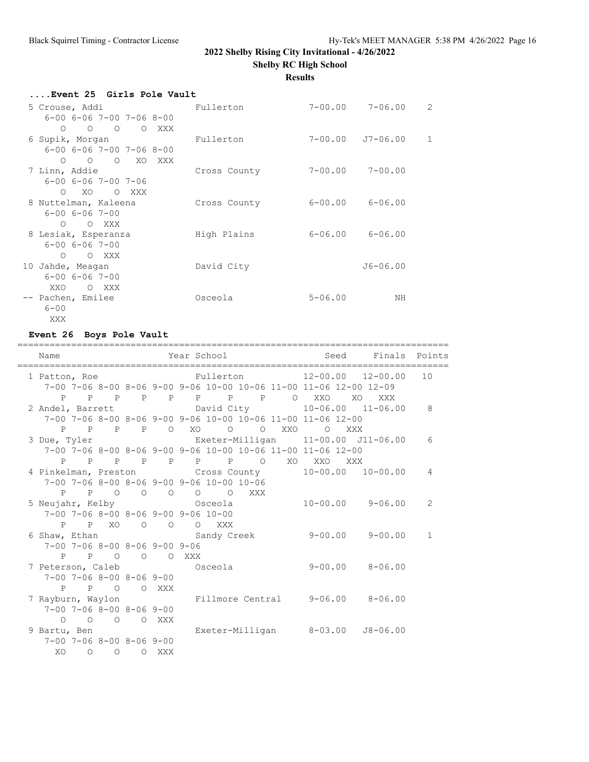**Shelby RC High School**

**Results**

| Event 25 Girls Pole Vault                    |              |             |                          |   |
|----------------------------------------------|--------------|-------------|--------------------------|---|
| and the Fullerton<br>5 Crouse, Addi          |              |             | 7-00.00 7-06.00          | 2 |
| $6 - 00$ $6 - 06$ $7 - 00$ $7 - 06$ $8 - 00$ |              |             |                          |   |
| O O O O XXX                                  |              |             |                          |   |
| 6 Supik, Morgan                              | Fullerton    |             | $7 - 00.00$ $J7 - 06.00$ | 1 |
| $6 - 00$ $6 - 06$ $7 - 00$ $7 - 06$ $8 - 00$ |              |             |                          |   |
| O O O XO XXX                                 |              |             |                          |   |
| 7 Linn, Addie                                | Cross County |             | $7 - 00.00$ $7 - 00.00$  |   |
| $6 - 00$ $6 - 06$ $7 - 00$ $7 - 06$          |              |             |                          |   |
| O XO O XXX                                   |              |             |                          |   |
| 8 Nuttelman, Kaleena                         | Cross County |             | $6 - 00.00$ $6 - 06.00$  |   |
| $6 - 00$ $6 - 06$ $7 - 00$                   |              |             |                          |   |
| $O$ $O$ XXX                                  |              |             |                          |   |
| 8 Lesiak, Esperanza                          | High Plains  |             | 6-06.00 6-06.00          |   |
| $6 - 00$ $6 - 06$ $7 - 00$                   |              |             |                          |   |
| O O XXX                                      |              |             |                          |   |
| 10 Jahde, Meagan                             | David City   |             | $J6 - 06.00$             |   |
| $6 - 00$ $6 - 06$ $7 - 00$                   |              |             |                          |   |
| XXO OXXX                                     |              |             |                          |   |
| -- Pachen, Emilee                            | Osceola      | $5 - 06.00$ | ΝH                       |   |
| $6 - 00$                                     |              |             |                          |   |
| XXX                                          |              |             |                          |   |

## **Event 26 Boys Pole Vault**

|  | Name                                         |  |               |  |                                           |  |                                                             | Year School in the Seed Finals Points                                                                          |              |
|--|----------------------------------------------|--|---------------|--|-------------------------------------------|--|-------------------------------------------------------------|----------------------------------------------------------------------------------------------------------------|--------------|
|  |                                              |  |               |  |                                           |  |                                                             | 1 Patton, Roe Fullerton 12-00.00 12-00.00<br>7-00 7-06 8-00 8-06 9-00 9-06 10-00 10-06 11-00 11-06 12-00 12-09 | 10           |
|  |                                              |  |               |  |                                           |  |                                                             | P P P P P P P P P O XXO XO XXX                                                                                 |              |
|  |                                              |  |               |  |                                           |  |                                                             | 2 Andel, Barrett Cavid City 10-06.00 11-06.00 8                                                                |              |
|  |                                              |  |               |  |                                           |  | 7-00 7-06 8-00 8-06 9-00 9-06 10-00 10-06 11-00 11-06 12-00 |                                                                                                                |              |
|  |                                              |  |               |  |                                           |  |                                                             |                                                                                                                |              |
|  |                                              |  |               |  |                                           |  | P P P P O XO O O XXO O XXX                                  |                                                                                                                | 6            |
|  |                                              |  |               |  |                                           |  | 7-00 7-06 8-00 8-06 9-00 9-06 10-00 10-06 11-00 11-06 12-00 | 3 Due, Tyler $\qquad \qquad$ Exeter-Milligan $11-00.00$ J11-06.00                                              |              |
|  |                                              |  |               |  |                                           |  |                                                             |                                                                                                                |              |
|  |                                              |  |               |  |                                           |  | P P P P P P P P O XO XXO XXX                                |                                                                                                                |              |
|  |                                              |  |               |  |                                           |  |                                                             | 4 Pinkelman, Preston Cross County 10-00.00 10-00.00                                                            | 4            |
|  |                                              |  |               |  | 7-00 7-06 8-00 8-06 9-00 9-06 10-00 10-06 |  |                                                             |                                                                                                                |              |
|  |                                              |  |               |  | P P O O O O O XXX                         |  |                                                             |                                                                                                                |              |
|  |                                              |  |               |  |                                           |  |                                                             | 5 Neujahr, Kelby                 Osceola               10-00.00     9-06.00                                    | 2            |
|  |                                              |  |               |  | 7-00 7-06 8-00 8-06 9-00 9-06 10-00       |  |                                                             |                                                                                                                |              |
|  |                                              |  |               |  | P P XO O O O XXX                          |  |                                                             |                                                                                                                |              |
|  |                                              |  |               |  |                                           |  |                                                             | 6 Shaw, Ethan 6 Sandy Creek 9-00.00 9-00.00                                                                    | $\mathbf{1}$ |
|  | $7-00$ $7-06$ $8-00$ $8-06$ $9-00$ $9-06$    |  |               |  |                                           |  |                                                             |                                                                                                                |              |
|  |                                              |  | P P O O O XXX |  |                                           |  |                                                             |                                                                                                                |              |
|  | 7 Peterson, Caleb Csceola                    |  |               |  |                                           |  |                                                             | $9 - 00.00$ $8 - 06.00$                                                                                        |              |
|  | $7 - 00$ $7 - 06$ $8 - 00$ $8 - 06$ $9 - 00$ |  |               |  |                                           |  |                                                             |                                                                                                                |              |
|  |                                              |  | P P O O XXX   |  |                                           |  |                                                             |                                                                                                                |              |
|  |                                              |  |               |  |                                           |  |                                                             | 7 Rayburn, Waylon Fillmore Central 9-06.00 8-06.00                                                             |              |
|  | $7-00$ $7-06$ $8-00$ $8-06$ $9-00$           |  |               |  |                                           |  |                                                             |                                                                                                                |              |
|  |                                              |  | O O O O XXX   |  |                                           |  |                                                             |                                                                                                                |              |
|  |                                              |  |               |  |                                           |  |                                                             | 9 Bartu, Ben Milligan 8-03.00 J8-06.00                                                                         |              |
|  | $7-00$ $7-06$ $8-00$ $8-06$ $9-00$           |  |               |  |                                           |  |                                                             |                                                                                                                |              |
|  |                                              |  | XO O O O XXX  |  |                                           |  |                                                             |                                                                                                                |              |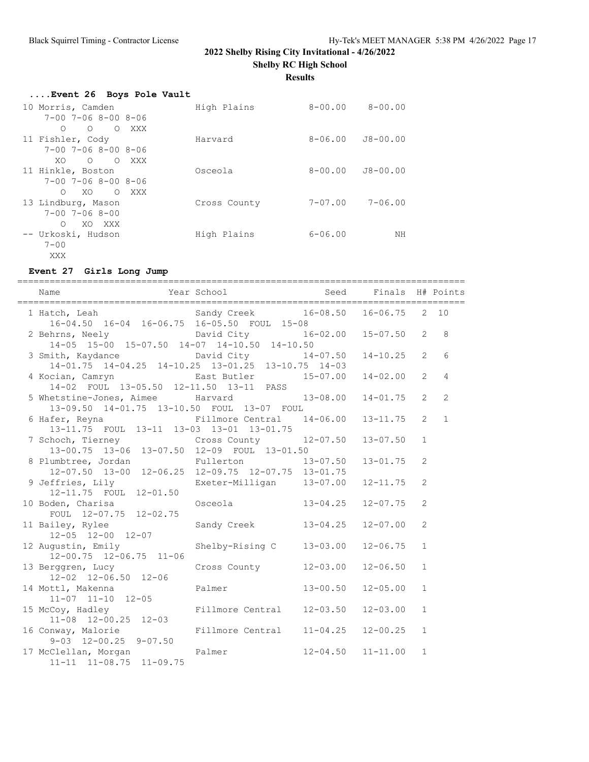**Shelby RC High School**

**Results**

| Event 26 Boys Pole Vault            |              |                     |             |
|-------------------------------------|--------------|---------------------|-------------|
| 10 Morris, Camden                   | High Plains  | $8-00.00$ $8-00.00$ |             |
| $7 - 00$ $7 - 06$ $8 - 00$ $8 - 06$ |              |                     |             |
| $O$ $O$ $O$ $XXX$                   |              |                     |             |
| 11 Fishler, Cody                    | Harvard      | $8 - 06.00$         | J8-00.00    |
| $7 - 00$ $7 - 06$ $8 - 00$ $8 - 06$ |              |                     |             |
| XOOOXXX                             |              |                     |             |
| 11 Hinkle, Boston                   | Osceola      | $8 - 00.00$         | J8-00.00    |
| $7 - 00$ $7 - 06$ $8 - 00$ $8 - 06$ |              |                     |             |
| O XO O XXX                          |              |                     |             |
| 13 Lindburg, Mason                  | Cross County | 7-07.00             | $7 - 06.00$ |
| $7 - 00$ $7 - 06$ $8 - 00$          |              |                     |             |
| XO XXX<br>$\bigcap$                 |              |                     |             |
| -- Urkoski, Hudson                  | High Plains  | $6 - 06.00$         | ΝH          |
| $7 - 00$                            |              |                     |             |
| XXX                                 |              |                     |             |

#### **Event 27 Girls Long Jump**

=================================================================================== Name The Year School Seed Finals H# Points =================================================================================== 1 Hatch, Leah Sandy Creek 16-08.50 16-06.75 2 10 16-04.50 16-04 16-06.75 16-05.50 FOUL 15-08 2 Behrns, Neely David City 16-02.00 15-07.50 2 8 14-05 15-00 15-07.50 14-07 14-10.50 14-10.50 3 Smith, Kaydance David City 14-07.50 14-10.25 2 6 14-01.75 14-04.25 14-10.25 13-01.25 13-10.75 14-03 4 Kocian, Camryn East Butler 15-07.00 14-02.00 2 4 14-02 FOUL 13-05.50 12-11.50 13-11 PASS 5 Whetstine-Jones, Aimee Harvard 13-08.00 14-01.75 2 2 13-09.50 14-01.75 13-10.50 FOUL 13-07 FOUL 6 Hafer, Reyna Fillmore Central 14-06.00 13-11.75 2 1 13-11.75 FOUL 13-11 13-03 13-01 13-01.75 7 Schoch, Tierney Cross County 12-07.50 13-07.50 1 13-00.75 13-06 13-07.50 12-09 FOUL 13-01.50 8 Plumbtree, Jordan Fullerton 13-07.50 13-01.75 2 12-07.50 13-00 12-06.25 12-09.75 12-07.75 13-01.75 9 Jeffries, Lily Exeter-Milligan 13-07.00 12-11.75 2 12-11.75 FOUL 12-01.50 10 Boden, Charisa Osceola 13-04.25 12-07.75 2 FOUL 12-07.75 12-02.75 11 Bailey, Rylee Sandy Creek 13-04.25 12-07.00 2 12-05 12-00 12-07 12 Augustin, Emily Shelby-Rising C 13-03.00 12-06.75 1 12-00.75 12-06.75 11-06 13 Berggren, Lucy Cross County 12-03.00 12-06.50 1 12-02 12-06.50 12-06 14 Mottl, Makenna Palmer 13-00.50 12-05.00 1 11-07 11-10 12-05 15 McCoy, Hadley Fillmore Central 12-03.50 12-03.00 1 11-08 12-00.25 12-03<br>16 Conway, Malorie Fillmore Central 11-04.25 12-00.25 1 9-03 12-00.25 9-07.50 17 McClellan, Morgan Palmer 12-04.50 11-11.00 1 11-11 11-08.75 11-09.75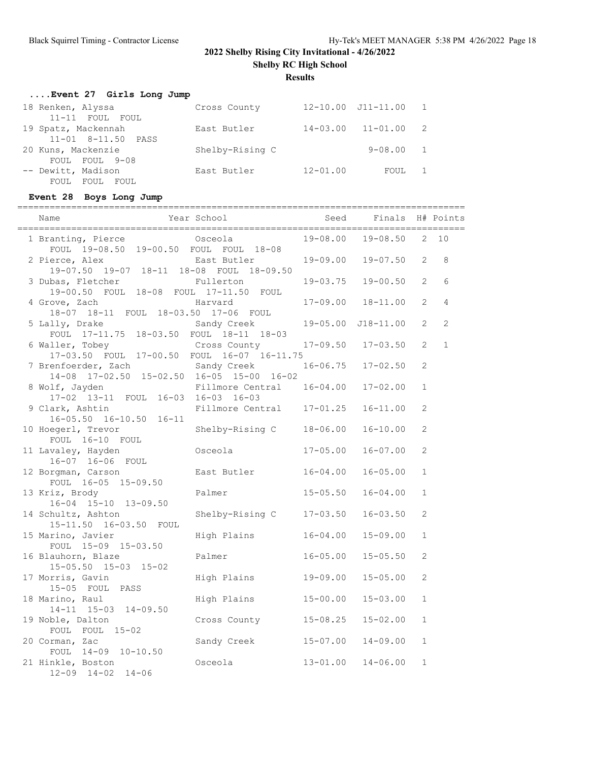**Shelby RC High School**

## **Results**

| Event 27 Girls Long Jump |                 |              |                            |                |
|--------------------------|-----------------|--------------|----------------------------|----------------|
| 18 Renken, Alyssa        | Cross County    |              | $12 - 10.00$ $J11 - 11.00$ | $\overline{1}$ |
| 11-11 FOUL FOUL          |                 |              |                            |                |
| 19 Spatz, Mackennah      | East Butler     | $14 - 03.00$ | $11 - 01.00$               | -2             |
| 11-01 8-11.50 PASS       |                 |              |                            |                |
| 20 Kuns, Mackenzie       | Shelby-Rising C |              | $9 - 08.00$                | $\sim$ 1       |
| FOUL FOUL 9-08           |                 |              |                            |                |
| -- Dewitt, Madison       | East Butler     | $12 - 01.00$ | FOUL                       |                |
| FOUL FOUL FOUL           |                 |              |                            |                |

# **Event 28 Boys Long Jump**

| Name                                         |                                                                                                                                                                                                                                                                                                     |                                                                                                                                                                                                                                                                                                                              |                                                                                                                                                                   |                                                                                                                                                                                                                                                           |                                                                                                                                  |
|----------------------------------------------|-----------------------------------------------------------------------------------------------------------------------------------------------------------------------------------------------------------------------------------------------------------------------------------------------------|------------------------------------------------------------------------------------------------------------------------------------------------------------------------------------------------------------------------------------------------------------------------------------------------------------------------------|-------------------------------------------------------------------------------------------------------------------------------------------------------------------|-----------------------------------------------------------------------------------------------------------------------------------------------------------------------------------------------------------------------------------------------------------|----------------------------------------------------------------------------------------------------------------------------------|
| 1 Branting, Pierce                           |                                                                                                                                                                                                                                                                                                     |                                                                                                                                                                                                                                                                                                                              |                                                                                                                                                                   |                                                                                                                                                                                                                                                           | $2 \t10$                                                                                                                         |
| 2 Pierce, Alex                               |                                                                                                                                                                                                                                                                                                     |                                                                                                                                                                                                                                                                                                                              |                                                                                                                                                                   | $\overline{2}$                                                                                                                                                                                                                                            | 8                                                                                                                                |
| 3 Dubas, Fletcher                            | Fullerton                                                                                                                                                                                                                                                                                           |                                                                                                                                                                                                                                                                                                                              |                                                                                                                                                                   | 2                                                                                                                                                                                                                                                         | 6                                                                                                                                |
| 4 Grove, Zach                                | Harvard                                                                                                                                                                                                                                                                                             |                                                                                                                                                                                                                                                                                                                              |                                                                                                                                                                   | $\overline{2}$                                                                                                                                                                                                                                            | $\overline{4}$                                                                                                                   |
| 5 Lally, Drake                               |                                                                                                                                                                                                                                                                                                     |                                                                                                                                                                                                                                                                                                                              |                                                                                                                                                                   | $\overline{2}$                                                                                                                                                                                                                                            | 2                                                                                                                                |
| 6 Waller, Tobey                              |                                                                                                                                                                                                                                                                                                     |                                                                                                                                                                                                                                                                                                                              | $17 - 03.50$                                                                                                                                                      | $\overline{2}$                                                                                                                                                                                                                                            | $\mathbf{1}$                                                                                                                     |
| 7 Brenfoerder, Zach                          |                                                                                                                                                                                                                                                                                                     |                                                                                                                                                                                                                                                                                                                              |                                                                                                                                                                   | 2                                                                                                                                                                                                                                                         |                                                                                                                                  |
| 8 Wolf, Jayden                               |                                                                                                                                                                                                                                                                                                     |                                                                                                                                                                                                                                                                                                                              | $17 - 02.00$                                                                                                                                                      | $\mathbf{1}$                                                                                                                                                                                                                                              |                                                                                                                                  |
| 9 Clark, Ashtin                              |                                                                                                                                                                                                                                                                                                     |                                                                                                                                                                                                                                                                                                                              | $16 - 11.00$                                                                                                                                                      | $\overline{2}$                                                                                                                                                                                                                                            |                                                                                                                                  |
| 10 Hoegerl, Trevor                           |                                                                                                                                                                                                                                                                                                     | $18 - 06.00$                                                                                                                                                                                                                                                                                                                 | $16 - 10.00$                                                                                                                                                      | 2                                                                                                                                                                                                                                                         |                                                                                                                                  |
| 11 Lavaley, Hayden                           | Osceola                                                                                                                                                                                                                                                                                             | $17 - 05.00$                                                                                                                                                                                                                                                                                                                 | $16 - 07.00$                                                                                                                                                      | 2                                                                                                                                                                                                                                                         |                                                                                                                                  |
| 12 Borgman, Carson                           | East Butler                                                                                                                                                                                                                                                                                         |                                                                                                                                                                                                                                                                                                                              | $16 - 05.00$                                                                                                                                                      | $\mathbf{1}$                                                                                                                                                                                                                                              |                                                                                                                                  |
| 13 Kriz, Brody                               | Palmer                                                                                                                                                                                                                                                                                              |                                                                                                                                                                                                                                                                                                                              | $16 - 04.00$                                                                                                                                                      | $\mathbf{1}$                                                                                                                                                                                                                                              |                                                                                                                                  |
| 14 Schultz, Ashton                           |                                                                                                                                                                                                                                                                                                     |                                                                                                                                                                                                                                                                                                                              | $16 - 03.50$                                                                                                                                                      | 2                                                                                                                                                                                                                                                         |                                                                                                                                  |
| 15 Marino, Javier                            | High Plains                                                                                                                                                                                                                                                                                         |                                                                                                                                                                                                                                                                                                                              | $15 - 09.00$                                                                                                                                                      | $\mathbf{1}$                                                                                                                                                                                                                                              |                                                                                                                                  |
| 16 Blauhorn, Blaze                           | Palmer                                                                                                                                                                                                                                                                                              |                                                                                                                                                                                                                                                                                                                              | $15 - 05.50$                                                                                                                                                      | 2                                                                                                                                                                                                                                                         |                                                                                                                                  |
| 17 Morris, Gavin                             | High Plains                                                                                                                                                                                                                                                                                         | $19 - 09.00$                                                                                                                                                                                                                                                                                                                 | $15 - 05.00$                                                                                                                                                      | 2                                                                                                                                                                                                                                                         |                                                                                                                                  |
| 18 Marino, Raul                              | High Plains                                                                                                                                                                                                                                                                                         |                                                                                                                                                                                                                                                                                                                              | $15 - 03.00$                                                                                                                                                      | $\mathbf{1}$                                                                                                                                                                                                                                              |                                                                                                                                  |
| 19 Noble, Dalton                             | Cross County                                                                                                                                                                                                                                                                                        |                                                                                                                                                                                                                                                                                                                              | $15 - 02.00$                                                                                                                                                      | $\mathbf{1}$                                                                                                                                                                                                                                              |                                                                                                                                  |
| 20 Corman, Zac                               | Sandy Creek                                                                                                                                                                                                                                                                                         |                                                                                                                                                                                                                                                                                                                              | $14 - 09.00$                                                                                                                                                      | $\mathbf{1}$                                                                                                                                                                                                                                              |                                                                                                                                  |
| 21 Hinkle, Boston<br>$12-09$ $14-02$ $14-06$ | Osceola                                                                                                                                                                                                                                                                                             |                                                                                                                                                                                                                                                                                                                              | $14 - 06.00$                                                                                                                                                      | $\mathbf{1}$                                                                                                                                                                                                                                              |                                                                                                                                  |
|                                              | $16 - 05.50$ $16 - 10.50$ $16 - 11$<br>FOUL 16-10 FOUL<br>16-07 16-06 FOUL<br>FOUL 16-05 15-09.50<br>16-04 15-10 13-09.50<br>15-11.50 16-03.50 FOUL<br>FOUL 15-09 15-03.50<br>$15 - 05.50$ $15 - 03$ $15 - 02$<br>15-05 FOUL PASS<br>14-11 15-03 14-09.50<br>FOUL FOUL 15-02<br>FOUL 14-09 10-10.50 | Year School<br>Osceola<br>FOUL 19-08.50 19-00.50 FOUL FOUL 18-08<br>East Butler<br>19-07.50 19-07 18-11 18-08 FOUL 18-09.50<br>19-00.50 FOUL 18-08 FOUL 17-11.50 FOUL<br>18-07 18-11 FOUL 18-03.50 17-06 FOUL<br>Sandy Creek<br>FOUL 17-11.75 18-03.50 FOUL 18-11 18-03<br>Sandy Creek<br>17-02 13-11 FOUL 16-03 16-03 16-03 | Cross County<br>17-03.50 FOUL 17-00.50 FOUL 16-07 16-11.75<br>14-08 17-02.50 15-02.50 16-05 15-00 16-02<br>Fillmore Central<br>Shelby-Rising C<br>Shelby-Rising C | Seed<br>19-09.00<br>19-03.75<br>$17 - 09.50$<br>$16 - 06.75$<br>$16 - 04.00$<br>Fillmore Central 17-01.25<br>$16 - 04.00$<br>$15 - 05.50$<br>$17 - 03.50$<br>$16 - 04.00$<br>$16 - 05.00$<br>$15 - 00.00$<br>$15 - 08.25$<br>$15 - 07.00$<br>$13 - 01.00$ | Finals H# Points<br>19-08.00 19-08.50<br>$19 - 07.50$<br>19-00.50<br>$17-09.00$ $18-11.00$<br>19-05.00 J18-11.00<br>$17 - 02.50$ |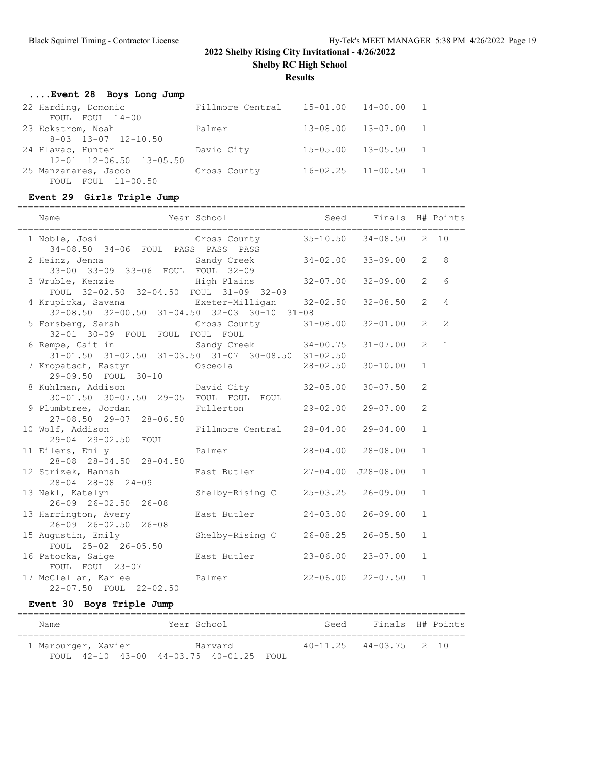**Shelby RC High School**

**Results**

| Event 28 Boys Long Jump             |                                    |                           |          |                |
|-------------------------------------|------------------------------------|---------------------------|----------|----------------|
| 22 Harding, Domonic                 | Fillmore Central 15-01.00 14-00.00 |                           |          | $\overline{1}$ |
| FOUL FOUL 14-00                     |                                    |                           |          |                |
| 23 Eckstrom, Noah                   | Palmer                             | $13 - 08.00$              | 13-07.00 | $\overline{1}$ |
| $8-03$ $13-07$ $12-10.50$           |                                    |                           |          |                |
| 24 Hlavac, Hunter                   | David City                         | $15 - 05.00$              | 13-05.50 | $\overline{1}$ |
| $12 - 01$ $12 - 06.50$ $13 - 05.50$ |                                    |                           |          |                |
| 25 Manzanares, Jacob                | Cross County                       | $16 - 02.25$ $11 - 00.50$ |          | $\overline{1}$ |
| FOUL FOUL 11-00.50                  |                                    |                           |          |                |

## **Event 29 Girls Triple Jump**

|                                                                                             | ===========          |              |                           |                |                |
|---------------------------------------------------------------------------------------------|----------------------|--------------|---------------------------|----------------|----------------|
| Name                                                                                        | Year School          |              | Seed Finals H# Points     |                |                |
| 1 Noble, Josi 6 Cross County 35-10.50 34-08.50<br>34-08.50 34-06 FOUL PASS PASS PASS        |                      |              |                           | 2              | 10             |
| 2 Heinz, Jenna<br>33-00 33-09 33-06 FOUL FOUL 32-09                                         | Sandy Creek          | $34 - 02.00$ | $33 - 09.00$              | $\overline{2}$ | 8              |
| 3 Wruble, Kenzie Manner High Plains<br>FOUL 32-02.50 32-04.50 FOUL 31-09 32-09              |                      | $32 - 07.00$ | $32 - 09.00$              | $\overline{2}$ | 6              |
|                                                                                             |                      |              | $32 - 08.50$              | $\overline{2}$ | $\overline{4}$ |
| 5 Forsberg, Sarah<br>32-01 30-09 FOUL FOUL FOUL FOUL                                        | Cross County         | $31 - 08.00$ | $32 - 01.00$              | $\overline{2}$ | $\overline{2}$ |
| 6 Rempe, Caitlin Sandy Creek 34-00.75<br>31-01.50 31-02.50 31-03.50 31-07 30-08.50 31-02.50 | Sandy Creek 34-00.75 |              | $31 - 07.00$              | $\overline{2}$ | $\mathbf{1}$   |
| 7 Kropatsch, Eastyn<br>29-09.50 FOUL 30-10                                                  | Osceola              | $28 - 02.50$ | $30 - 10.00$              | $\mathbf{1}$   |                |
| 8 Kuhlman, Addison<br>30-01.50 30-07.50 29-05 FOUL FOUL FOUL                                | David City           | $32 - 05.00$ | $30 - 07.50$              | $\overline{c}$ |                |
| 9 Plumbtree, Jordan<br>$27 - 08.50$ $29 - 07$ $28 - 06.50$                                  | Fullerton            | $29 - 02.00$ | $29 - 07.00$              | $\overline{c}$ |                |
| 10 Wolf, Addison<br>29-04 29-02.50 FOUL                                                     | Fillmore Central     | $28 - 04.00$ | $29 - 04.00$              | $\mathbf{1}$   |                |
| 11 Eilers, Emily<br>28-08 28-04.50 28-04.50                                                 | Palmer               |              | 28-04.00 28-08.00         | $\mathbf{1}$   |                |
| 12 Strizek, Hannah<br>$28 - 04$ $28 - 08$ $24 - 09$                                         | East Butler          | $27 - 04.00$ | $J28 - 08.00$             | $\mathbf{1}$   |                |
| 13 Nekl, Katelyn<br>26-09 26-02.50 26-08                                                    | Shelby-Rising C      | $25 - 03.25$ | $26 - 09.00$              | $\mathbf{1}$   |                |
| 13 Harrington, Avery<br>$26 - 09$ $26 - 02.50$ $26 - 08$                                    | East Butler          | $24 - 03.00$ | $26 - 09.00$              | $\mathbf{1}$   |                |
| 15 Augustin, Emily<br>FOUL 25-02 26-05.50                                                   | Shelby-Rising C      | $26 - 08.25$ | $26 - 05.50$              | $\mathbf{1}$   |                |
| 16 Patocka, Saige<br>FOUL FOUL 23-07                                                        | East Butler          | $23 - 06.00$ | $23 - 07.00$              | $\mathbf{1}$   |                |
| 17 McClellan, Karlee Almer<br>22-07.50 FOUL 22-02.50                                        |                      |              | $22 - 06.00$ $22 - 07.50$ | $\mathbf{1}$   |                |

## **Event 30 Boys Triple Jump**

| Name |                     |  | Year School                             |         | Seed | Finals H# Points           |  |
|------|---------------------|--|-----------------------------------------|---------|------|----------------------------|--|
|      | 1 Marburger, Xavier |  |                                         | Harvard |      | $40-11.25$ $44-03.75$ 2 10 |  |
|      |                     |  | FOUL 42-10 43-00 44-03.75 40-01.25 FOUL |         |      |                            |  |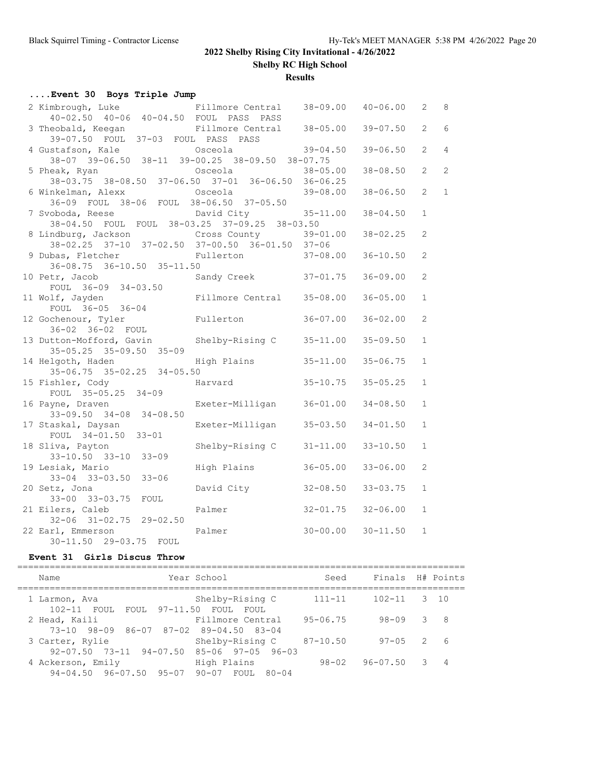**Shelby RC High School**

**Results**

### **....Event 30 Boys Triple Jump**

| 2 Kimbrough, Luke<br>40-02.50 40-06 40-04.50 FOUL PASS PASS | Fillmore Central          | 38-09.00     | $40 - 06.00$ | 2              | 8              |
|-------------------------------------------------------------|---------------------------|--------------|--------------|----------------|----------------|
| 3 Theobald, Keegan<br>39-07.50 FOUL 37-03 FOUL PASS PASS    | Fillmore Central 38-05.00 |              | $39 - 07.50$ | 2              | 6              |
|                                                             |                           |              |              |                |                |
| 4 Gustafson, Kale                                           | Osceola                   | $39 - 04.50$ | $39 - 06.50$ | 2              | $\overline{4}$ |
| 38-07 39-06.50 38-11 39-00.25 38-09.50 38-07.75             |                           |              |              |                |                |
| 5 Pheak, Ryan                                               | Osceola                   | $38 - 05.00$ | $38 - 08.50$ | 2              | $\overline{2}$ |
| 38-03.75 38-08.50 37-06.50 37-01 36-06.50 36-06.25          |                           |              |              |                |                |
| 6 Winkelman, Alexx                                          | Osceola                   | $39 - 08.00$ | $38 - 06.50$ | $\overline{2}$ | $\mathbf{1}$   |
| 36-09 FOUL 38-06 FOUL 38-06.50 37-05.50                     |                           |              |              |                |                |
| 7 Svoboda, Reese                                            | David City                | $35 - 11.00$ | $38 - 04.50$ | $\mathbf{1}$   |                |
| 38-04.50 FOUL FOUL 38-03.25 37-09.25 38-03.50               |                           |              |              |                |                |
| 8 Lindburg, Jackson Cross County 39-01.00                   |                           |              | $38 - 02.25$ | 2              |                |
| 38-02.25 37-10 37-02.50 37-00.50 36-01.50 37-06             |                           |              |              |                |                |
| 9 Dubas, Fletcher                                           | Fullerton                 | $37 - 08.00$ | $36 - 10.50$ | $\mathbf{2}$   |                |
| $36-08.75$ $36-10.50$ $35-11.50$                            |                           |              |              |                |                |
|                                                             |                           |              |              |                |                |
| 10 Petr, Jacob                                              | Sandy Creek 37-01.75      |              | $36 - 09.00$ | $\overline{2}$ |                |
| FOUL 36-09 34-03.50                                         |                           |              |              |                |                |
| 11 Wolf, Jayden                                             | Fillmore Central          | $35 - 08.00$ | $36 - 05.00$ | $\mathbf{1}$   |                |
| FOUL 36-05 36-04                                            |                           |              |              |                |                |
| 12 Gochenour, Tyler                                         | Fullerton                 | $36 - 07.00$ | $36 - 02.00$ | $\overline{2}$ |                |
| 36-02 36-02 FOUL                                            |                           |              |              |                |                |
| 13 Dutton-Mofford, Gavin Shelby-Rising C                    |                           | $35 - 11.00$ | $35 - 09.50$ | $\mathbf{1}$   |                |
| $35 - 05.25$ $35 - 09.50$ $35 - 09$                         |                           |              |              |                |                |
| 14 Helgoth, Haden                                           | High Plains               | $35 - 11.00$ | $35 - 06.75$ | $\mathbf{1}$   |                |
| $35-06.75$ $35-02.25$ $34-05.50$                            |                           |              |              |                |                |
| 15 Fishler, Cody                                            | Harvard                   | $35 - 10.75$ | $35 - 05.25$ | $\mathbf{1}$   |                |
| FOUL 35-05.25 34-09                                         |                           |              |              |                |                |
| 16 Payne, Draven                                            | Exeter-Milligan           | $36 - 01.00$ | $34 - 08.50$ | $\mathbf{1}$   |                |
| $33-09.50$ $34-08$ $34-08.50$                               |                           |              |              |                |                |
| 17 Staskal, Daysan                                          | Exeter-Milligan           | $35 - 03.50$ | $34 - 01.50$ | $\mathbf{1}$   |                |
|                                                             |                           |              |              |                |                |
| FOUL 34-01.50 33-01                                         |                           |              |              |                |                |
| 18 Sliva, Payton                                            | Shelby-Rising C           | $31 - 11.00$ | $33 - 10.50$ | $\mathbf{1}$   |                |
| 33-10.50 33-10 33-09                                        |                           |              |              |                |                |
| 19 Lesiak, Mario                                            | High Plains               | $36 - 05.00$ | $33 - 06.00$ | 2              |                |
| 33-04 33-03.50 33-06                                        |                           |              |              |                |                |
| 20 Setz, Jona                                               | David City                | $32 - 08.50$ | $33 - 03.75$ | $\mathbf{1}$   |                |
| 33-00 33-03.75 FOUL                                         |                           |              |              |                |                |
| 21 Eilers, Caleb                                            | Palmer                    | $32 - 01.75$ | $32 - 06.00$ | $\mathbf{1}$   |                |
| $32-06$ $31-02.75$ $29-02.50$                               |                           |              |              |                |                |
| 22 Earl, Emmerson                                           | Palmer                    | $30 - 00.00$ | $30 - 11.50$ | $\mathbf{1}$   |                |
| 30-11.50 29-03.75 FOUL                                      |                           |              |              |                |                |

#### **Event 31 Girls Discus Throw**

=================================================================================== Name The Year School Seed Finals H# Points =================================================================================== 1 102-11 Shelby-Rising C 111-11 102-11 3 10<br>
102-11 50 FOUL FOUL<br>
50 FOUL FILMOTE Central 95-06.75 98-09 3 8 102-11 FOUL FOUL 97-11.50 FOUL FOUL 2 Head, Kaili Fillmore Central 95-06.75 98-09 3 8 73-10 98-09 86-07 87-02 89-04.50 83-04 3 Carter, Rylie Shelby-Rising C 87-10.50 97-05 2 6 92-07.50 73-11 94-07.50 85-06 97-05 96-03 4 Ackerson, Emily High Plains 98-02 96-07.50 3 4 94-04.50 96-07.50 95-07 90-07 FOUL 80-04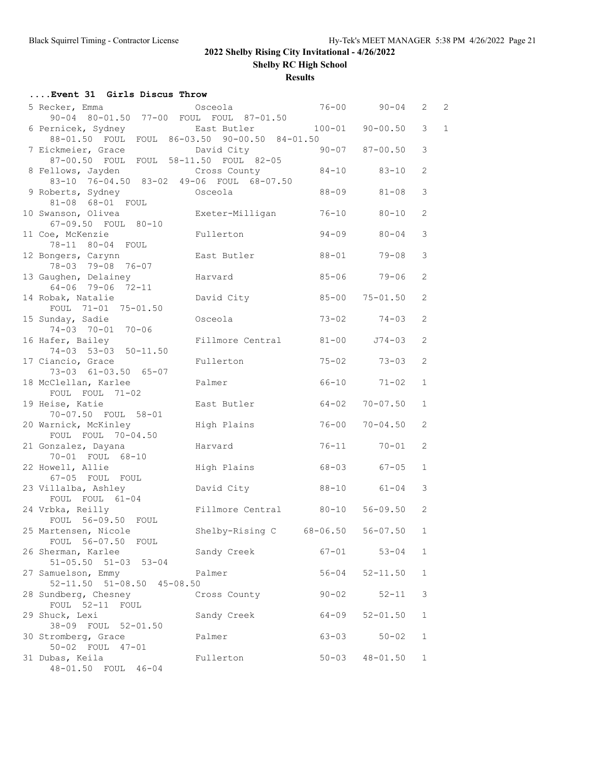**Shelby RC High School**

**Results**

## **....Event 31 Girls Discus Throw**

| 5 Recker, Emma                                   | Osceola                | $76 - 00$    | $90 - 04$           | 2              | $\overline{c}$ |
|--------------------------------------------------|------------------------|--------------|---------------------|----------------|----------------|
| 90-04 80-01.50 77-00 FOUL FOUL 87-01.50          |                        |              |                     |                |                |
| 6 Pernicek, Sydney                               | East Butler            | $100 - 01$   | $90 - 00.50$        | 3              | $\mathbf{1}$   |
| 88-01.50 FOUL FOUL 86-03.50 90-00.50 84-01.50    |                        |              |                     |                |                |
| 7 Eickmeier, Grace                               | David City             | $90 - 07$    | $87 - 00.50$        | 3              |                |
| 87-00.50 FOUL FOUL 58-11.50 FOUL 82-05           |                        |              |                     |                |                |
| 8 Fellows, Jayden                                | Cross County           |              | 84-10 83-10         | $\overline{2}$ |                |
| 83-10 76-04.50 83-02 49-06 FOUL 68-07.50         |                        |              |                     |                |                |
| 9 Roberts, Sydney<br>81-08 68-01 FOUL            | Osceola                | $88 - 09$    | $81 - 08$           | 3              |                |
| 10 Swanson, Olivea                               | Exeter-Milligan        | $76 - 10$    | 80-10               | 2              |                |
| 67-09.50 FOUL 80-10                              |                        |              |                     |                |                |
| 11 Coe, McKenzie                                 | Fullerton              | $94 - 09$    | $80 - 04$           | 3              |                |
| 78-11 80-04 FOUL                                 |                        |              |                     |                |                |
| 12 Bongers, Carynn                               | East Butler            | 88-01        | $79 - 08$           | 3              |                |
| 78-03 79-08 76-07                                |                        |              |                     |                |                |
| 13 Gaughen, Delainey                             | Harvard                |              | 85-06 79-06         | 2              |                |
| 64-06 79-06 72-11                                |                        |              |                     |                |                |
| 14 Robak, Natalie                                | David City             | $85 - 00$    | $75 - 01.50$        | $\overline{2}$ |                |
| FOUL 71-01 75-01.50                              |                        |              |                     |                |                |
| 15 Sunday, Sadie<br>74-03 70-01 70-06            | Osceola                |              | $73 - 02$ $74 - 03$ | $\overline{2}$ |                |
| 16 Hafer, Bailey                                 | Fillmore Central       | $81 - 00$    | J74-03              | 2              |                |
| 74-03 53-03 50-11.50                             |                        |              |                     |                |                |
| 17 Ciancio, Grace                                | Fullerton              | $75 - 02$    | $73 - 03$           | 2              |                |
| 73-03 61-03.50 65-07                             |                        |              |                     |                |                |
| 18 McClellan, Karlee                             | Palmer                 |              | $66 - 10$ $71 - 02$ | $\mathbf{1}$   |                |
| FOUL FOUL 71-02                                  |                        |              |                     |                |                |
| 19 Heise, Katie                                  | East Butler            | $64 - 02$    | $70 - 07.50$        | $\mathbf{1}$   |                |
| 70-07.50 FOUL 58-01                              |                        |              |                     |                |                |
| 20 Warnick, McKinley                             | High Plains            | $76 - 00$    | $70 - 04.50$        | $\overline{2}$ |                |
| FOUL FOUL 70-04.50                               |                        |              |                     |                |                |
| 21 Gonzalez, Dayana<br>70-01 FOUL 68-10          | Harvard                | $76 - 11$    | $70 - 01$           | $\overline{2}$ |                |
| 22 Howell, Allie                                 | High Plains            |              | 68-03 67-05         | $\mathbf{1}$   |                |
| 67-05 FOUL FOUL                                  |                        |              |                     |                |                |
| 23 Villalba, Ashley                              | David City             |              | 88-10 61-04         | 3              |                |
| FOUL FOUL 61-04                                  |                        |              |                     |                |                |
| 24 Vrbka, Reilly                                 | Fillmore Central 80-10 |              | $56 - 09.50$        | $\overline{2}$ |                |
| FOUL 56-09.50 FOUL                               |                        |              |                     |                |                |
| 25 Martensen, Nicole                             | Shelby-Rising C        | $68 - 06.50$ | $56 - 07.50$        | $\mathbf{1}$   |                |
| FOUL 56-07.50 FOUL                               |                        |              |                     |                |                |
| 26 Sherman, Karlee                               | Sandy Creek            |              | $67 - 01$ $53 - 04$ | 1              |                |
| $51 - 05.50$ $51 - 03$ $53 - 04$                 |                        |              | $52 - 11.50$        | $\mathbf{1}$   |                |
| 27 Samuelson, Emmy<br>52-11.50 51-08.50 45-08.50 | Palmer                 | $56 - 04$    |                     |                |                |
| 28 Sundberg, Chesney                             | Cross County           | $90 - 02$    | 52-11               | 3              |                |
| FOUL 52-11 FOUL                                  |                        |              |                     |                |                |
| 29 Shuck, Lexi                                   | Sandy Creek            | 64-09        | $52 - 01.50$        | $\mathbf{1}$   |                |
| 38-09 FOUL 52-01.50                              |                        |              |                     |                |                |
| 30 Stromberg, Grace                              | Palmer                 | $63 - 03$    | $50 - 02$           | $\mathbf{1}$   |                |
| 50-02 FOUL 47-01                                 |                        |              |                     |                |                |
| 31 Dubas, Keila                                  | Fullerton              | $50 - 03$    | $48 - 01.50$        | $\mathbf{1}$   |                |
| 48-01.50 FOUL 46-04                              |                        |              |                     |                |                |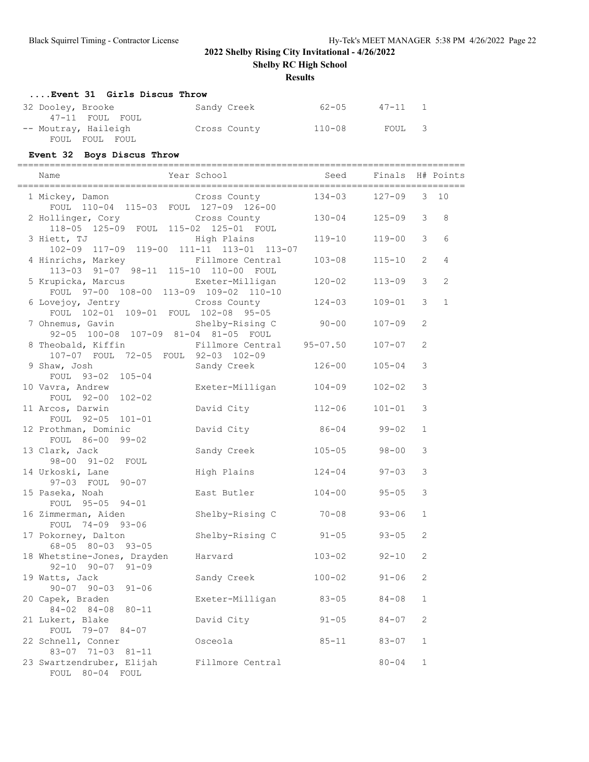**Shelby RC High School**

### **Results**

## **....Event 31 Girls Discus Throw**

| 32 Dooley, Brooke    | Sandy Creek  | 62-05      | 47-11 1 |  |
|----------------------|--------------|------------|---------|--|
| 47-11 FOUL FOUL      |              |            |         |  |
| -- Moutray, Haileigh | Cross County | $110 - 08$ | FOUL 3  |  |
| FOUL FOUL FOUL       |              |            |         |  |

## **Event 32 Boys Discus Throw**

| Name                                                                                                | =============<br>Year School | Seed       | Finals H# Points |                |              |
|-----------------------------------------------------------------------------------------------------|------------------------------|------------|------------------|----------------|--------------|
| 1 Mickey, Damon Cross County                                                                        |                              | $134 - 03$ | $127 - 09$       | 3              | 10           |
| FOUL 110-04 115-03 FOUL 127-09 126-00<br>2 Hollinger, Cory<br>118-05 125-09 FOUL 115-02 125-01 FOUL | Cross County                 | $130 - 04$ | $125 - 09$       | 3              | 8            |
| 3 Hiett, TJ<br>102-09 117-09 119-00 111-11 113-01 113-07                                            | High Plains                  | 119-10     | $119 - 00$       | 3              | 6            |
| 4 Hinrichs, Markey<br>113-03 91-07 98-11 115-10 110-00 FOUL                                         | Fillmore Central             | $103 - 08$ | $115 - 10$       | $\overline{2}$ | 4            |
| 5 Krupicka, Marcus<br>FOUL 97-00 108-00 113-09 109-02 110-10                                        | Exeter-Milligan              | $120 - 02$ | $113 - 09$       | 3              | 2            |
| 6 Lovejoy, Jentry Cross County<br>FOUL 102-01 109-01 FOUL 102-08 95-05                              |                              | $124 - 03$ | $109 - 01$       | 3              | $\mathbf{1}$ |
| 7 Ohnemus, Gavin<br>92-05 100-08 107-09 81-04 81-05 FOUL                                            | Shelby-Rising C              | $90 - 00$  | $107 - 09$       | 2              |              |
| 8 Theobald, Kiffin<br>107-07 FOUL 72-05 FOUL 92-03 102-09                                           | Fillmore Central 95-07.50    |            | $107 - 07$       | $\overline{2}$ |              |
| 9 Shaw, Josh<br>FOUL 93-02 105-04                                                                   | Sandy Creek                  | $126 - 00$ | $105 - 04$       | 3              |              |
| 10 Vavra, Andrew<br>FOUL 92-00 102-02                                                               | Exeter-Milligan              | $104 - 09$ | $102 - 02$       | 3              |              |
| 11 Arcos, Darwin<br>FOUL 92-05 101-01                                                               | David City                   | $112 - 06$ | $101 - 01$       | $\mathcal{S}$  |              |
| 12 Prothman, Dominic<br>FOUL 86-00 99-02                                                            | David City                   | $86 - 04$  | $99 - 02$        | $\mathbf{1}$   |              |
| 13 Clark, Jack<br>98-00 91-02 FOUL                                                                  | Sandy Creek                  | $105 - 05$ | $98 - 00$        | 3              |              |
| 14 Urkoski, Lane<br>97-03 FOUL 90-07                                                                | High Plains                  | $124 - 04$ | $97 - 03$        | 3              |              |
| 15 Paseka, Noah<br>FOUL 95-05 94-01                                                                 | East Butler                  | $104 - 00$ | $95 - 05$        | $\mathcal{S}$  |              |
| 16 Zimmerman, Aiden<br>FOUL 74-09 93-06                                                             | Shelby-Rising C              | $70 - 08$  | $93 - 06$        | $\mathbf{1}$   |              |
| 17 Pokorney, Dalton<br>68-05 80-03 93-05                                                            | Shelby-Rising C              | $91 - 05$  | $93 - 05$        | $\overline{2}$ |              |
| 18 Whetstine-Jones, Drayden<br>$92 - 10$ $90 - 07$ $91 - 09$                                        | Harvard                      | $103 - 02$ | $92 - 10$        | $\mathbf{2}$   |              |
| 19 Watts, Jack<br>$90 - 07$ $90 - 03$ $91 - 06$                                                     | Sandy Creek                  | $100 - 02$ | $91 - 06$        | 2              |              |
| 20 Capek, Braden<br>$84 - 02$ $84 - 08$<br>$80 - 11$                                                | Exeter-Milligan              | $83 - 05$  | $84 - 08$        | 1              |              |
| 21 Lukert, Blake<br>FOUL 79-07 84-07                                                                | David City                   | $91 - 05$  | $84 - 07$        | $\mathbf{2}$   |              |
| 22 Schnell, Conner<br>83-07 71-03 81-11                                                             | Osceola                      | $85 - 11$  | $83 - 07$        | 1              |              |
| 23 Swartzendruber, Elijah<br>FOUL 80-04 FOUL                                                        | Fillmore Central             |            | $80 - 04$        | $\mathbf 1$    |              |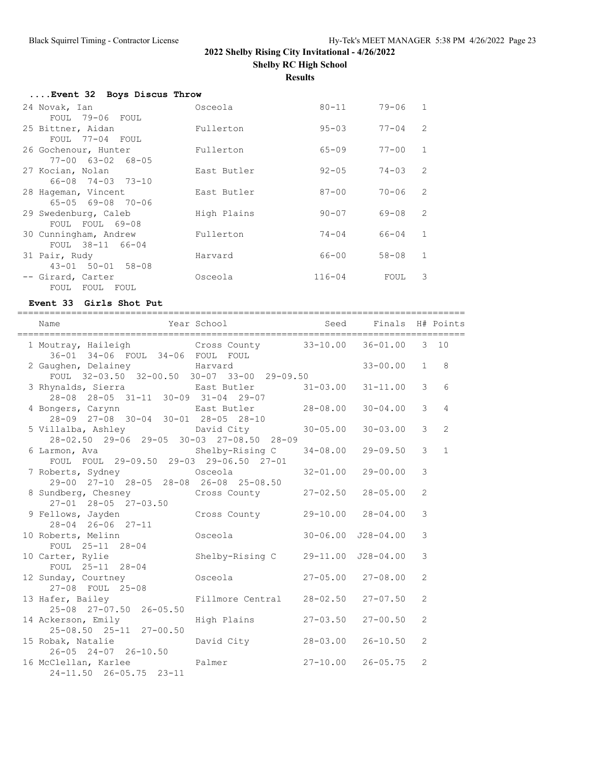**Shelby RC High School**

**Results**

| Event 32 Boys Discus Throw    |             |            |             |                |
|-------------------------------|-------------|------------|-------------|----------------|
| 24 Novak, Ian                 | Osceola     | 80-11      | $79 - 06$ 1 |                |
| FOUL 79-06 FOUL               |             |            |             |                |
| 25 Bittner, Aidan             | Fullerton   | $95 - 03$  | $77 - 04$   | $\mathcal{L}$  |
| FOUL 77-04 FOUL               |             |            |             |                |
| 26 Gochenour, Hunter          | Fullerton   | $65 - 09$  | $77 - 00$   | $\overline{1}$ |
| $77 - 00$ $63 - 02$ $68 - 05$ |             |            |             |                |
| 27 Kocian, Nolan              | East Butler | $92 - 05$  | $74 - 0.3$  | $\mathcal{L}$  |
| 66-08 74-03 73-10             |             |            |             |                |
| 28 Hageman, Vincent           | East Butler | $87 - 00$  | $70 - 06$   | $\mathcal{L}$  |
| $65 - 05$ $69 - 08$ $70 - 06$ |             |            |             |                |
| 29 Swedenburg, Caleb          | High Plains | $90 - 07$  | 69-08       | $\mathcal{L}$  |
| FOUL FOUL 69-08               |             |            |             |                |
| 30 Cunningham, Andrew         | Fullerton   | $74 - 04$  | 66-04       | $\overline{1}$ |
| FOUL 38-11 66-04              |             |            |             |                |
| 31 Pair, Rudy                 | Harvard     | 66-00      | $58 - 08$   | $\overline{1}$ |
| $43 - 01$ $50 - 01$ $58 - 08$ |             |            |             |                |
| -- Girard, Carter             | Osceola     | $116 - 04$ | FOUL        | 3              |
| FOUL FOUL FOUL                |             |            |             |                |

#### **Event 33 Girls Shot Put**

=================================================================================== Name The Year School Seed Finals H# Points =================================================================================== 1 Moutray, Haileigh Cross County 33-10.00 36-01.00 3 10 36-01 34-06 FOUL 34-06 FOUL FOUL 2 Gaughen, Delainey Harvard 33-00.00 1 8 FOUL 32-03.50 32-00.50 30-07 33-00 29-09.50 3 Rhynalds, Sierra East Butler 31-03.00 31-11.00 3 6 28-08 28-05 31-11 30-09 31-04 29-07 4 Bongers, Carynn East Butler 28-08.00 30-04.00 3 4 28-09 27-08 30-04 30-01 28-05 28-10 5 Villalba, Ashley David City 30-05.00 30-03.00 3 2 28-02.50 29-06 29-05 30-03 27-08.50 28-09 6 Larmon, Ava Shelby-Rising C 34-08.00 29-09.50 3 1 FOUL FOUL 29-09.50 29-03 29-06.50 27-01 7 Roberts, Sydney Osceola 32-01.00 29-00.00 3 29-00 27-10 28-05 28-08 26-08 25-08.50 8 Sundberg, Chesney Cross County 27-02.50 28-05.00 2 27-01 28-05 27-03.50<br>9 Fellows, Jayden Cross County 29-10.00 28-04.00 3 28-04 26-06 27-11 10 Roberts, Melinn Osceola 30-06.00 J28-04.00 3 FOUL 25-11 28-04 10 Carter, Rylie Shelby-Rising C 29-11.00 J28-04.00 3 FOUL 25-11 28-04 12 Sunday, Courtney Osceola 27-05.00 27-08.00 2 27-08 FOUL 25-08 13 Hafer, Bailey Fillmore Central 28-02.50 27-07.50 2 25-08 27-07.50 26-05.50 14 Ackerson, Emily High Plains 27-03.50 27-00.50 2 25-08.50 25-11 27-00.50 15 Robak, Natalie David City 28-03.00 26-10.50 2 26-05 24-07 26-10.50 16 McClellan, Karlee Palmer 27-10.00 26-05.75 2 24-11.50 26-05.75 23-11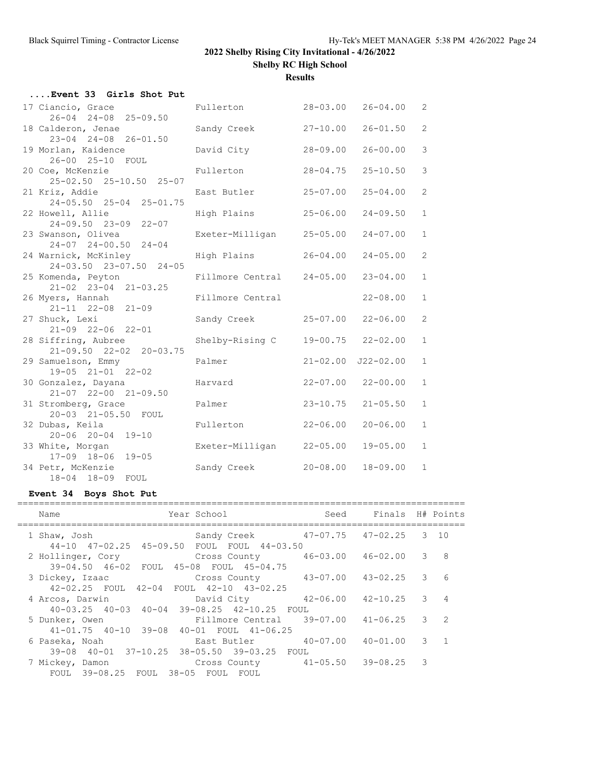**Shelby RC High School**

**Results**

| Event 33 Girls Shot Put                                |                  |              |               |                |
|--------------------------------------------------------|------------------|--------------|---------------|----------------|
| 17 Ciancio, Grace<br>26-04 24-08 25-09.50              | Fullerton        | $28 - 03.00$ | $26 - 04.00$  | $\overline{2}$ |
| 18 Calderon, Jenae<br>$23 - 04$ $24 - 08$ $26 - 01.50$ | Sandy Creek      | $27 - 10.00$ | $26 - 01.50$  | $\overline{2}$ |
| 19 Morlan, Kaidence<br>26-00 25-10 FOUL                | David City       | $28 - 09.00$ | $26 - 00.00$  | 3              |
| 20 Coe, McKenzie<br>25-02.50 25-10.50 25-07            | Fullerton        | $28 - 04.75$ | $25 - 10.50$  | 3              |
| 21 Kriz, Addie<br>24-05.50 25-04 25-01.75              | East Butler      | $25 - 07.00$ | $25 - 04.00$  | $\overline{2}$ |
| 22 Howell, Allie<br>$24 - 09.50$ $23 - 09$ $22 - 07$   | High Plains      | $25 - 06.00$ | $24 - 09.50$  | $\mathbf{1}$   |
| 23 Swanson, Olivea<br>$24-07$ $24-00.50$ $24-04$       | Exeter-Milligan  | $25 - 05.00$ | $24 - 07.00$  | $\mathbf{1}$   |
| 24 Warnick, McKinley<br>24-03.50 23-07.50 24-05        | High Plains      | $26 - 04.00$ | $24 - 05.00$  | $\overline{2}$ |
| 25 Komenda, Peyton<br>21-02 23-04 21-03.25             | Fillmore Central | $24 - 05.00$ | $23 - 04.00$  | $\mathbf{1}$   |
| 26 Myers, Hannah<br>$21 - 11$ $22 - 08$ $21 - 09$      | Fillmore Central |              | $22 - 08.00$  | $\mathbf{1}$   |
| 27 Shuck, Lexi<br>$21-09$ $22-06$ $22-01$              | Sandy Creek      | $25 - 07.00$ | $22 - 06.00$  | $\overline{2}$ |
| 28 Siffring, Aubree<br>21-09.50 22-02 20-03.75         | Shelby-Rising C  | 19-00.75     | $22 - 02.00$  | $\mathbf{1}$   |
| 29 Samuelson, Emmy<br>$19-05$ $21-01$ $22-02$          | Palmer           | $21 - 02.00$ | $J22 - 02.00$ | $\mathbf{1}$   |
| 30 Gonzalez, Dayana<br>21-07 22-00 21-09.50            | Harvard          | $22 - 07.00$ | $22 - 00.00$  | $\mathbf{1}$   |
| 31 Stromberg, Grace<br>20-03 21-05.50 FOUL             | Palmer           | $23 - 10.75$ | $21 - 05.50$  | $\mathbf{1}$   |
| 32 Dubas, Keila<br>$20 - 06$ $20 - 04$ $19 - 10$       | Fullerton        | $22 - 06.00$ | $20 - 06.00$  | $\mathbf{1}$   |
| 33 White, Morgan<br>$17-09$ $18-06$ $19-05$            | Exeter-Milligan  | $22 - 05.00$ | $19 - 05.00$  | $\mathbf{1}$   |
| 34 Petr, McKenzie<br>$18 - 04$ $18 - 09$<br>FOUL       | Sandy Creek      | $20 - 08.00$ | $18 - 09.00$  | $\mathbf{1}$   |

## **Event 34 Boys Shot Put**

| Year School<br>Name                                                                                                                               | Seed                  | Finals H# Points |                |                |
|---------------------------------------------------------------------------------------------------------------------------------------------------|-----------------------|------------------|----------------|----------------|
| Sandy Creek 47-07.75 47-02.25<br>1 Shaw, Josh                                                                                                     |                       |                  |                | 3 10           |
| 44-10 47-02.25 45-09.50 FOUL FOUL 44-03.50<br>2 Hollinger, Cory<br>Cross County<br>39-04.50 46-02 FOUL 45-08 FOUL 45-04.75                        | $46 - 03.00$          | 46-02.00         | 3              | 8              |
| 3 Dickey, Izaac<br>Cross County<br>42-04 FOUL 42-10 43-02.25<br>42-02.25 FOUL                                                                     | $43 - 07.00$          | 43-02.25         | $\mathcal{E}$  | 6              |
| David City 42-06.00<br>4 Arcos, Darwin                                                                                                            |                       | 42-10.25         | 3 <sup>7</sup> | $\overline{4}$ |
| $40-03.25$ $40-03$ $40-04$ $39-08.25$ $42-10.25$ FOUL<br>5 Dunker, Owen<br>Fillmore Central<br>$41-01.75$ $40-10$ $39-08$ $40-01$ FOUL $41-06.25$ | $39-07.00$ $41-06.25$ |                  | 3              | $\overline{2}$ |
| 6 Paseka, Noah<br>East Butler<br>39-08 40-01 37-10.25 38-05.50 39-03.25 FOUL                                                                      | $40 - 07.00$          | $40 - 01.00$     |                | $3 \quad 1$    |
| Cross County 41-05.50 39-08.25<br>7 Mickey, Damon<br>FOUL 39-08.25 FOUL 38-05 FOUL<br>FOUL                                                        |                       |                  | 3              |                |
|                                                                                                                                                   |                       |                  |                |                |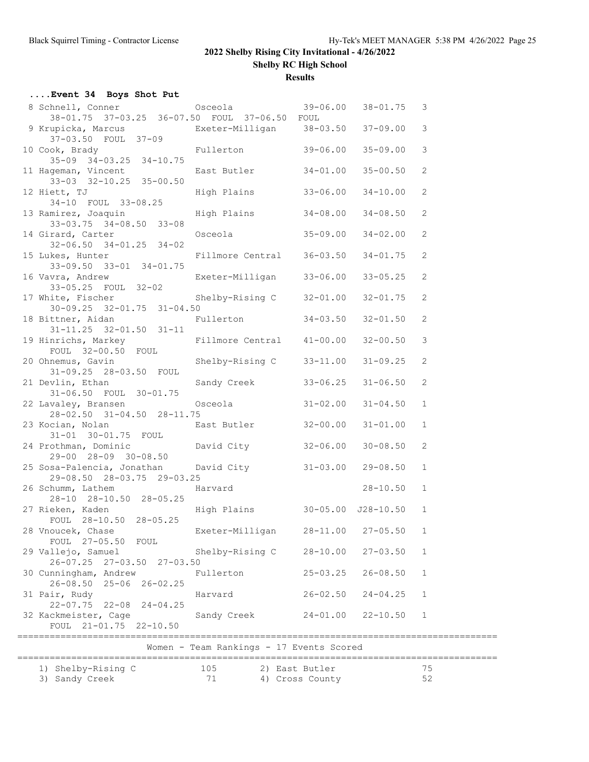**Shelby RC High School**

**Results**

| Event 34 Boys Shot Put                                                                  |                                          |                                   |                |               |
|-----------------------------------------------------------------------------------------|------------------------------------------|-----------------------------------|----------------|---------------|
| 8 Schnell, Conner (39-06.00 38-01.75 3<br>38-01.75 37-03.25 36-07.50 FOUL 37-06.50 FOUL |                                          |                                   |                |               |
| 9 Krupicka, Marcus<br>37-03.50 FOUL 37-09<br>37-09                                      |                                          |                                   |                | $\mathcal{S}$ |
| 10 Cook, Brady Fullerton 39-06.00<br>35-09 34-03.25 34-10.75                            |                                          |                                   | $35 - 09.00$   | 3             |
| 11 Hageman, Vincent Cast Butler 34-01.00<br>33-03 32-10.25 35-00.50                     |                                          |                                   | $35 - 00.50$   | 2             |
| 12 Hiett, TJ<br>34-10 FOUL 33-08.25                                                     | High Plains 33-06.00                     |                                   | $34 - 10.00$   | 2             |
| 13 Ramirez, Joaquin Migh Plains 34-08.00<br>33-03.75 34-08.50 33-08                     |                                          |                                   | $34 - 08.50$   | 2             |
| 14 Girard, Carter<br>$32 - 06.50$ $34 - 01.25$ $34 - 02$                                | Osceola 35-09.00                         |                                   | $34 - 02.00$   | 2             |
| 15 Lukes, Hunter<br>33-09.50 33-01 34-01.75                                             | Fillmore Central 36-03.50                |                                   | $34 - 01.75$   | 2             |
| 16 Vavra, Andrew Exeter-Milligan 33-06.00<br>33-05.25 FOUL 32-02                        |                                          |                                   | $33 - 05.25$   | 2             |
| 17 White, Fischer Shelby-Rising C 32-01.00<br>$30-09.25$ $32-01.75$ $31-04.50$          |                                          |                                   | $32 - 01.75$   | 2             |
| 18 Bittner, Aidan Man Fullerton 34-03.50<br>$31-11.25$ $32-01.50$ $31-11$               |                                          |                                   | $32 - 01.50$   | 2             |
| 19 Hinrichs, Markey Fillmore Central 41-00.00<br>FOUL 32-00.50 FOUL                     |                                          |                                   | $32 - 00.50$   | $\mathcal{S}$ |
| 20 Ohnemus, Gavin<br>31-09.25 28-03.50 FOUL                                             | Shelby-Rising C 33-11.00                 |                                   | $31 - 09.25$   | 2             |
| 21 Devlin, Ethan<br>31-06.50 FOUL 30-01.75                                              | Sandy Creek 33-06.25                     |                                   | $31 - 06.50$   | 2             |
| 22 Lavaley, Bransen Cosceola 31-02.00<br>28-02.50 31-04.50 28-11.75                     |                                          |                                   | $31 - 04.50$   | $\mathbf{1}$  |
| 23 Kocian, Nolan <b>East Butler</b> 32-00.00<br>31-01 30-01.75 FOUL                     |                                          |                                   | $31 - 01.00$   | 1             |
| 24 Prothman, Dominic<br>29-00 28-09 30-08.50 David City<br>29-00 28-09 30-08.50         |                                          |                                   | $30 - 08.50$   | 2             |
| 25 Sosa-Palencia, Jonathan David City 31-03.00 29-08.50<br>29-08.50 28-03.75 29-03.25   |                                          |                                   |                | $\mathbf{1}$  |
| 26 Schumm, Lathem<br>28-10 28-10.50 28-05.25                                            | 03.25<br>Harvard                         |                                   | $28 - 10.50$ 1 |               |
| 27 Rieken, Kaden<br>FOUL 28-10.50 28-05.25                                              | High Plains 30-05.00 J28-10.50 1         |                                   |                |               |
| 28 Vnoucek, Chase<br>FOUL 27-05.50 FOUL                                                 | Exeter-Milligan                          | $28 - 11.00$                      | $27 - 05.50$   | 1             |
| 29 Vallejo, Samuel<br>26-07.25 27-03.50 27-03.50                                        | Shelby-Rising C                          | $28 - 10.00$                      | $27 - 03.50$   | 1             |
| 30 Cunningham, Andrew<br>26-08.50 25-06 26-02.25                                        | Fullerton                                | $25 - 03.25$                      | $26 - 08.50$   | $\mathbf{1}$  |
| 31 Pair, Rudy<br>22-07.75 22-08 24-04.25                                                | Harvard                                  | $26 - 02.50$                      | $24 - 04.25$   | $\mathbf{1}$  |
| 32 Kackmeister, Cage<br>FOUL 21-01.75 22-10.50                                          | Sandy Creek                              | $24 - 01.00$                      | $22 - 10.50$   | $\mathbf{1}$  |
|                                                                                         | Women - Team Rankings - 17 Events Scored |                                   |                |               |
|                                                                                         |                                          |                                   |                |               |
| 1) Shelby-Rising C<br>3) Sandy Creek                                                    | 105<br>71                                | 2) East Butler<br>4) Cross County |                | 75<br>52      |